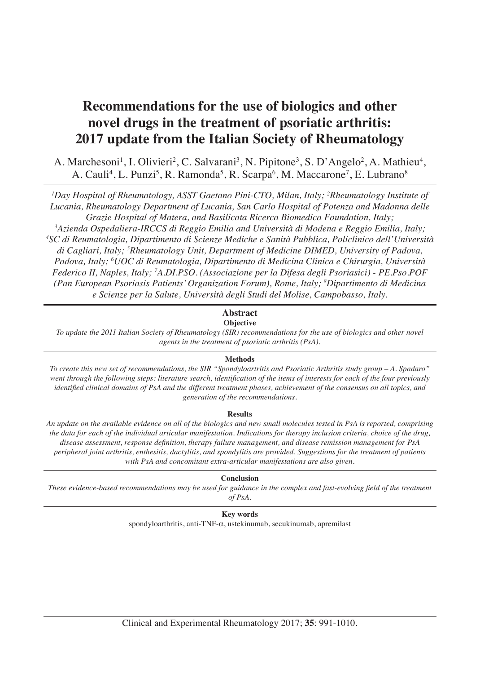# **Recommendations for the use of biologics and other novel drugs in the treatment of psoriatic arthritis: 2017 update from the Italian Society of Rheumatology**

A. Marchesoni<sup>1</sup>, I. Olivieri<sup>2</sup>, C. Salvarani<sup>3</sup>, N. Pipitone<sup>3</sup>, S. D'Angelo<sup>2</sup>, A. Mathieu<sup>4</sup>, A. Cauli<sup>4</sup>, L. Punzi<sup>5</sup>, R. Ramonda<sup>5</sup>, R. Scarpa<sup>6</sup>, M. Maccarone<sup>7</sup>, E. Lubrano<sup>8</sup>

*1 Day Hospital of Rheumatology, ASST Gaetano Pini-CTO, Milan, Italy; 2 Rheumatology Institute of Lucania, Rheumatology Department of Lucania, San Carlo Hospital of Potenza and Madonna delle Grazie Hospital of Matera, and Basilicata Ricerca Biomedica Foundation, Italy;*

*3 Azienda Ospedaliera-IRCCS di Reggio Emilia and Università di Modena e Reggio Emilia, Italy; 4 SC di Reumatologia, Dipartimento di Scienze Mediche e Sanità Pubblica, Policlinico dell'Università di Cagliari, Italy; 5 Rheumatology Unit, Department of Medicine DIMED, University of Padova, Padova, Italy; 6 UOC di Reumatologia, Dipartimento di Medicina Clinica e Chirurgia, Università Federico II, Naples, Italy; 7 A.DI.PSO. (Associazione per la Difesa degli Psoriasici) - PE.Pso.POF (Pan European Psoriasis Patients' Organization Forum), Rome, Italy; 8 Dipartimento di Medicina e Scienze per la Salute, Università degli Studi del Molise, Campobasso, Italy.*

#### **Abstract Objective**

*To update the 2011 Italian Society of Rheumatology (SIR) recommendations for the use of biologics and other novel agents in the treatment of psoriatic arthritis (PsA).*

# **Methods**

*To create this new set of recommendations, the SIR "Spondyloartritis and Psoriatic Arthritis study group – A. Spadaro" went through the following steps: literature search, identification of the items of interests for each of the four previously identified clinical domains of PsA and the different treatment phases, achievement of the consensus on all topics, and generation of the recommendations.*

# **Results**

*An update on the available evidence on all of the biologics and new small molecules tested in PsA is reported, comprising the data for each of the individual articular manifestation. Indications for therapy inclusion criteria, choice of the drug, disease assessment, response definition, therapy failure management, and disease remission management for PsA peripheral joint arthritis, enthesitis, dactylitis, and spondylitis are provided. Suggestions for the treatment of patients with PsA and concomitant extra-articular manifestations are also given.*

# **Conclusion**

*These evidence-based recommendations may be used for guidance in the complex and fast-evolving field of the treatment of PsA.*

**Key words**

spondyloarthritis, anti-TNF-α, ustekinumab, secukinumab, apremilast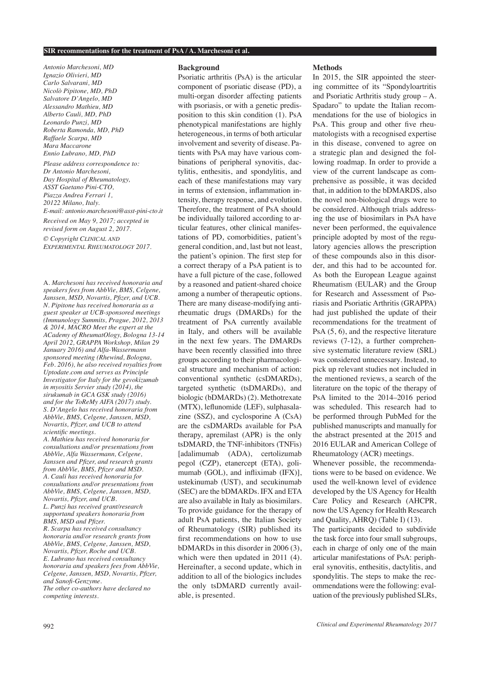*Antonio Marchesoni, MD Ignazio Olivieri, MD Carlo Salvarani, MD Nicolò Pipitone, MD, PhD Salvatore D'Angelo, MD Alessandro Mathieu, MD Alberto Cauli, MD, PhD Leonardo Punzi, MD Roberta Ramonda, MD, PhD Raffaele Scarpa, MD Mara Maccarone Ennio Lubrano, MD, PhD Please address correspondence to: Dr Antonio Marchesoni, Day Hospital of Rheumatology, ASST Gaetano Pini-CTO, Piazza Andrea Ferrari 1, 20122 Milano, Italy. E-mail: antonio.marchesoni@asst-pini-cto.it Received on May 9, 2017; accepted in revised form on August 2, 2017.*

*© Copyright Clinical and Experimental Rheumatology 2017.*

A. *Marchesoni has received honoraria and speakers fees from AbbVie, BMS, Celgene, Janssen, MSD, Novartis, Pfizer, and UCB. N. Pipitone has received honoraria as a guest speaker at UCB-sponsored meetings (Immunology Summits, Prague, 2012, 2013 & 2014, MACRO Meet the expert at the ACademy of RheumatOlogy, Bologna 13-14 April 2012, GRAPPA Workshop, Milan 29 January 2016) and Alfa-Wassermann sponsored meeting (Rhewind, Bologna, Feb. 2016), he also received royalties from Uptodate.com and serves as Principle Investigator for Italy for the gevokizumab in myositis Servier study (2014), the sirukumab in GCA GSK study (2016) and for the ToReMy AIFA (2017) study. S. D'Angelo has received honoraria from AbbVie, BMS, Celgene, Janssen, MSD, Novartis, Pfizer, and UCB to attend scientific meetings.* 

*A. Mathieu has received honoraria for consultations and/or presentations from AbbVie, Alfa Wassermann, Celgene, Janssen and Pfizer, and research grants from AbbVie, BMS, Pfizer and MSD. A. Cauli has received honoraria for consultations and/or presentations from AbbVie, BMS, Celgene, Janssen, MSD, Novartis, Pfizer, and UCB. L. Punzi has received grant/research supportand speakers honoraria from BMS, MSD and Pfizer. R. Scarpa has received consultancy honoraria and/or research grants from* 

*AbbVie, BMS, Celgene, Janssen, MSD, Novartis, Pfizer, Roche and UCB. E. Lubrano has received consultancy honoraria and speakers fees from AbbVie, Celgene, Janssen, MSD, Novartis, Pfizer, and Sanofi-Genzyme.*

*The other co-authors have declared no competing interests.*

#### **Background**

Psoriatic arthritis (PsA) is the articular component of psoriatic disease (PD), a multi-organ disorder affecting patients with psoriasis, or with a genetic predisposition to this skin condition (1). PsA phenotypical manifestations are highly heterogeneous, in terms of both articular involvement and severity of disease. Patients with PsA may have various combinations of peripheral synovitis, dactylitis, enthesitis, and spondylitis, and each of these manifestations may vary in terms of extension, inflammation intensity, therapy response, and evolution. Therefore, the treatment of PsA should be individually tailored according to articular features, other clinical manifestations of PD, comorbidities, patient's general condition, and, last but not least, the patient's opinion. The first step for a correct therapy of a PsA patient is to have a full picture of the case, followed by a reasoned and patient-shared choice among a number of therapeutic options. There are many disease-modifying antirheumatic drugs (DMARDs) for the treatment of PsA currently available in Italy, and others will be available in the next few years. The DMARDs have been recently classified into three groups according to their pharmacological structure and mechanism of action: conventional synthetic (csDMARDs), targeted synthetic (tsDMARDs), and biologic (bDMARDs) (2). Methotrexate (MTX), leflunomide (LEF), sulphasalazine (SSZ), and cyclosporine A (CsA) are the csDMARDs available for PsA therapy, apremilast (APR) is the only tsDMARD, the TNF-inhibitors (TNFis) [adalimumab (ADA), certolizumab pegol (CZP), etanercept (ETA), golimumab (GOL), and infliximab (IFX)], ustekinumab (UST), and secukinumab (SEC) are the bDMARDs. IFX and ETA are also available in Italy as biosimilars. To provide guidance for the therapy of adult PsA patients, the Italian Society of Rheumatology (SIR) published its first recommendations on how to use bDMARDs in this disorder in 2006 (3), which were then updated in 2011 (4). Hereinafter, a second update, which in addition to all of the biologics includes the only tsDMARD currently available, is presented.

#### **Methods**

In 2015, the SIR appointed the steering committee of its "Spondyloartritis and Psoriatic Arthritis study group – A. Spadaro" to update the Italian recommendations for the use of biologics in PsA. This group and other five rheumatologists with a recognised expertise in this disease, convened to agree on a strategic plan and designed the following roadmap. In order to provide a view of the current landscape as comprehensive as possible, it was decided that, in addition to the bDMARDS, also the novel non-biological drugs were to be considered. Although trials addressing the use of biosimilars in PsA have never been performed, the equivalence principle adopted by most of the regulatory agencies allows the prescription of these compounds also in this disorder, and this had to be accounted for. As both the European League against Rheumatism (EULAR) and the Group for Research and Assessment of Psoriasis and Psoriatic Arthritis (GRAPPA) had just published the update of their recommendations for the treatment of PsA  $(5, 6)$ , and the respective literature reviews (7-12), a further comprehensive systematic literature review (SRL) was considered unnecessary. Instead, to pick up relevant studies not included in the mentioned reviews, a search of the literature on the topic of the therapy of PsA limited to the 2014–2016 period was scheduled. This research had to be performed through PubMed for the published manuscripts and manually for the abstract presented at the 2015 and 2016 EULAR and American College of Rheumatology (ACR) meetings. Whenever possible, the recommenda-

tions were to be based on evidence. We used the well-known level of evidence developed by the US Agency for Health Care Policy and Research (AHCPR, now the US Agency for Health Research and Quality, AHRQ) (Table I) (13).

The participants decided to subdivide the task force into four small subgroups, each in charge of only one of the main articular manifestations of PsA: peripheral synovitis, enthesitis, dactylitis, and spondylitis. The steps to make the recommendations were the following: evaluation of the previously published SLRs,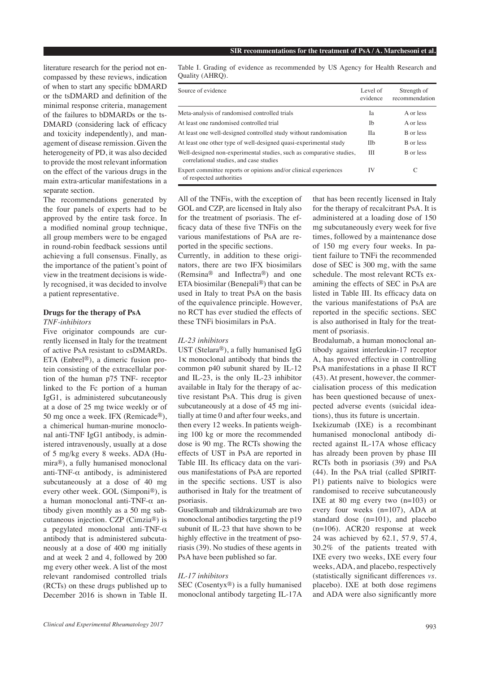literature research for the period not encompassed by these reviews, indication of when to start any specific bDMARD or the tsDMARD and definition of the minimal response criteria, management of the failures to bDMARDs or the ts-DMARD (considering lack of efficacy and toxicity independently), and management of disease remission. Given the heterogeneity of PD, it was also decided to provide the most relevant information on the effect of the various drugs in the main extra-articular manifestations in a separate section.

The recommendations generated by the four panels of experts had to be approved by the entire task force. In a modified nominal group technique, all group members were to be engaged in round-robin feedback sessions until achieving a full consensus. Finally, as the importance of the patient's point of view in the treatment decisions is widely recognised, it was decided to involve a patient representative.

#### **Drugs for the therapy of PsA**

#### *TNF-inhibitors*

Five originator compounds are currently licensed in Italy for the treatment of active PsA resistant to csDMARDs. ETA (Enbrel®), a dimeric fusion protein consisting of the extracellular portion of the human p75 TNF- receptor linked to the Fc portion of a human IgG1, is administered subcutaneously at a dose of 25 mg twice weekly or of 50 mg once a week. IFX (Remicade®), a chimerical human-murine monoclonal anti-TNF IgG1 antibody, is administered intravenously, usually at a dose of 5 mg/kg every 8 weeks. ADA (Humira®), a fully humanised monoclonal anti-TNF- $\alpha$  antibody, is administered subcutaneously at a dose of 40 mg every other week. GOL (Simponi®), is a human monoclonal anti-TNF-α antibody given monthly as a 50 mg subcutaneous injection. CZP (Cimzia®) is a pegylated monoclonal anti-TNF-α antibody that is administered subcutaneously at a dose of 400 mg initially and at week 2 and 4, followed by 200 mg every other week. A list of the most relevant randomised controlled trials (RCTs) on these drugs published up to December 2016 is shown in Table II.

Table I. Grading of evidence as recommended by US Agency for Health Research and Quality (AHRQ).

| Source of evidence                                                                                              | Level of<br>evidence | Strength of<br>recommendation |
|-----------------------------------------------------------------------------------------------------------------|----------------------|-------------------------------|
| Meta-analysis of randomised controlled trials                                                                   | Ia                   | A or less                     |
| At least one randomised controlled trial                                                                        | Ib                   | A or less                     |
| At least one well-designed controlled study without randomisation                                               | Пa                   | B or less                     |
| At least one other type of well-designed quasi-experimental study                                               | <b>IIb</b>           | B or less                     |
| Well-designed non-experimental studies, such as comparative studies,<br>correlational studies, and case studies | Ш                    | B or less                     |
| Expert committee reports or opinions and/or clinical experiences<br>of respected authorities                    | IV                   | C                             |

All of the TNFis, with the exception of GOL and CZP, are licensed in Italy also for the treatment of psoriasis. The efficacy data of these five TNFis on the various manifestations of PsA are reported in the specific sections.

Currently, in addition to these originators, there are two IFX biosimilars (Remsina® and Inflectra®) and one ETA biosimilar (Benepali®) that can be used in Italy to treat PsA on the basis of the equivalence principle. However, no RCT has ever studied the effects of these TNFi biosimilars in PsA.

#### *IL-23 inhibitors*

UST (Stelara®), a fully humanised IgG 1κ monoclonal antibody that binds the common p40 subunit shared by IL-12 and IL-23, is the only IL-23 inhibitor available in Italy for the therapy of active resistant PsA. This drug is given subcutaneously at a dose of 45 mg initially at time 0 and after four weeks, and then every 12 weeks. In patients weighing 100 kg or more the recommended dose is 90 mg. The RCTs showing the effects of UST in PsA are reported in Table III. Its efficacy data on the various manifestations of PsA are reported in the specific sections. UST is also authorised in Italy for the treatment of psoriasis.

Guselkumab and tildrakizumab are two monoclonal antibodies targeting the p19 subunit of IL-23 that have shown to be highly effective in the treatment of psoriasis (39). No studies of these agents in PsA have been published so far.

#### *IL-17 inhibitors*

SEC (Cosentyx®) is a fully humanised monoclonal antibody targeting IL-17A that has been recently licensed in Italy for the therapy of recalcitrant PsA. It is administered at a loading dose of 150 mg subcutaneously every week for five times, followed by a maintenance dose of 150 mg every four weeks. In patient failure to TNFi the recommended dose of SEC is 300 mg, with the same schedule. The most relevant RCTs examining the effects of SEC in PsA are listed in Table III. Its efficacy data on the various manifestations of PsA are reported in the specific sections. SEC is also authorised in Italy for the treatment of psoriasis.

Brodalumab, a human monoclonal antibody against interleukin-17 receptor A, has proved effective in controlling PsA manifestations in a phase II RCT (43). At present, however, the commercialisation process of this medication has been questioned because of unexpected adverse events (suicidal ideations), thus its future is uncertain.

Ixekizumab (IXE) is a recombinant humanised monoclonal antibody directed against IL-17A whose efficacy has already been proven by phase III RCTs both in psoriasis (39) and PsA (44). In the PsA trial (called SPIRIT-P1) patients naïve to biologics were randomised to receive subcutaneously IXE at 80 mg every two  $(n=103)$  or every four weeks (n=107), ADA at standard dose (n=101), and placebo (n=106). ACR20 response at week 24 was achieved by 62.1, 57.9, 57.4, 30.2% of the patients treated with IXE every two weeks, IXE every four weeks, ADA, and placebo, respectively (statistically significant differences *vs.* placebo). IXE at both dose regimens and ADA were also significantly more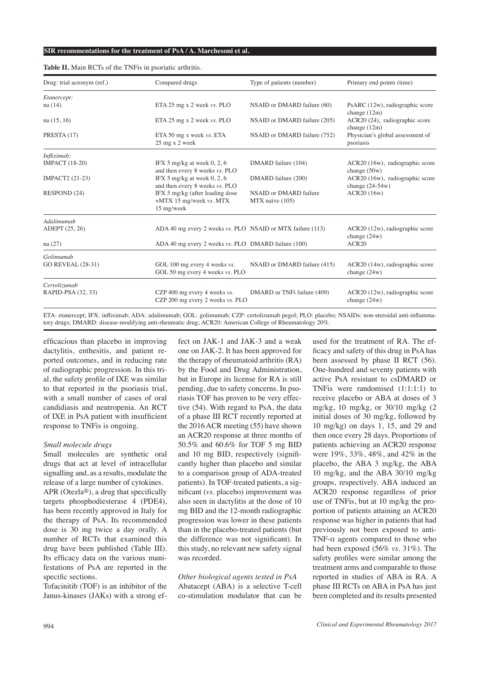| Drug: trial acronym (ref.) | Compared drugs                                                           | Type of patients (number)                 | Primary end points (time)                            |
|----------------------------|--------------------------------------------------------------------------|-------------------------------------------|------------------------------------------------------|
| Etanercept:                |                                                                          |                                           |                                                      |
| na (14)                    | ETA 25 mg x 2 week vs. PLO                                               | NSAID or DMARD failure (60)               | PsARC (12w), radiographic score<br>change $(12m)$    |
| na(15, 16)                 | ETA 25 mg x 2 week vs. PLO                                               | NSAID or DMARD failure (205)              | ACR20 (24), radiographic score<br>change $(12m)$     |
| PRESTA (17)                | ETA 50 mg x week vs. ETA<br>25 mg x 2 week                               | NSAID or DMARD failure (752)              | Physician's global assessment of<br>psoriasis        |
| Infliximab:                |                                                                          |                                           |                                                      |
| <b>IMPACT</b> (18-20)      | IFX 5 mg/kg at week 0, 2, 6<br>and then every 8 weeks vs. PLO            | DMARD failure (104)                       | ACR20 (16w), radiographic score<br>change $(50w)$    |
| IMPACT2 (21-23)            | IFX 5 mg/kg at week $0, 2, 6$<br>and then every 8 weeks vs. PLO          | DMARD failure (200)                       | ACR20 (16w), radiographic score<br>change $(24-54w)$ |
| RESPOND (24)               | IFX 5 mg/kg (after loading dose<br>+MTX 15 mg/week vs. MTX<br>15 mg/week | NSAID or DMARD failure<br>MTX naïve (105) | ACR20 (16w)                                          |
| Adalimumab                 |                                                                          |                                           |                                                      |
| ADEPT (25, 26)             | ADA 40 mg every 2 weeks vs. PLO NSAID or MTX failure (113)               |                                           | $ACR20$ (12w), radiographic score<br>change $(24w)$  |
| na(27)                     | ADA 40 mg every 2 weeks vs. PLO DMARD failure (100)                      |                                           | ACR <sub>20</sub>                                    |
| Golimumab                  |                                                                          |                                           |                                                      |
| <b>GO REVEAL (28-31)</b>   | GOL 100 mg every 4 weeks vs.<br>GOL 50 mg every 4 weeks vs. PLO          | NSAID or DMARD failure (415)              | $ACR20$ (14w), radiographic score<br>change $(24w)$  |
| Certolizumab               |                                                                          |                                           |                                                      |
| RAPID-PSA (32, 33)         | CZP 400 mg every 4 weeks vs.<br>CZP 200 mg every 2 weeks vs. PLO         | DMARD or TNFi failure (409)               | ACR20 (12w), radiographic score<br>change $(24w)$    |

#### **Table II.** Main RCTs of the TNFis in psoriatic arthritis.

ETA: etanercept; IFX: infliximab; ADA: adalimumab; GOL: golimumab; CZP: certolizumab pegol; PLO: placebo; NSAIDs: non-steroidal anti-inflammatory drugs; DMARD: disease-modifying anti-rheumatic drug; ACR20: American College of Rheumatology 20%.

efficacious than placebo in improving dactylitis, enthesitis, and patient reported outcomes, and in reducing rate of radiographic progression. In this trial, the safety profile of IXE was similar to that reported in the psoriasis trial, with a small number of cases of oral candidiasis and neutropenia. An RCT of IXE in PsA patient with insufficient response to TNFis is ongoing.

#### *Small molecule drugs*

Small molecules are synthetic oral drugs that act at level of intracellular signalling and, as a results, modulate the release of a large number of cytokines. APR (Otezla®), a drug that specifically targets phosphodiesterase 4 (PDE4), has been recently approved in Italy for the therapy of PsA. Its recommended dose is 30 mg twice a day orally. A number of RCTs that examined this drug have been published (Table III). Its efficacy data on the various manifestations of PsA are reported in the specific sections.

Tofacinitib (TOF) is an inhibitor of the Janus-kinases (JAKs) with a strong effect on JAK-1 and JAK-3 and a weak one on JAK-2. It has been approved for the therapy of rheumatoid arthritis (RA) by the Food and Drug Administration, but in Europe its license for RA is still pending, due to safety concerns. In psoriasis TOF has proven to be very effective (54). With regard to PsA, the data of a phase III RCT recently reported at the 2016 ACR meeting (55) have shown an ACR20 response at three months of 50.5% and 60.6% for TOF 5 mg BID and 10 mg BID, respectively (significantly higher than placebo and similar to a comparison group of ADA-treated patients). In TOF-treated patients, a significant (*vs.* placebo) improvement was also seen in dactylitis at the dose of 10 mg BID and the 12-month radiographic progression was lower in these patients than in the placebo-treated patients (but the difference was not significant). In this study, no relevant new safety signal was recorded.

*Other biological agents tested in PsA* Abatacept (ABA) is a selective T-cell co-stimulation modulator that can be used for the treatment of RA. The efficacy and safety of this drug in PsA has been assessed by phase II RCT (56). One-hundred and seventy patients with active PsA resistant to csDMARD or TNFis were randomised (1:1:1:1) to receive placebo or ABA at doses of 3 mg/kg, 10 mg/kg, or 30/10 mg/kg (2 initial doses of 30 mg/kg, followed by 10 mg/kg) on days 1, 15, and 29 and then once every 28 days. Proportions of patients achieving an ACR20 response were 19%, 33%, 48%, and 42% in the placebo, the ABA 3 mg/kg, the ABA 10 mg/kg, and the ABA 30/10 mg/kg groups, respectively. ABA induced an ACR20 response regardless of prior use of TNFis, but at 10 mg/kg the proportion of patients attaining an ACR20 response was higher in patients that had previously not been exposed to anti-TNF- $\alpha$  agents compared to those who had been exposed (56% *vs.* 31%). The safety profiles were similar among the treatment arms and comparable to those reported in studies of ABA in RA. A phase III RCTs on ABA in PsA has just been completed and its results presented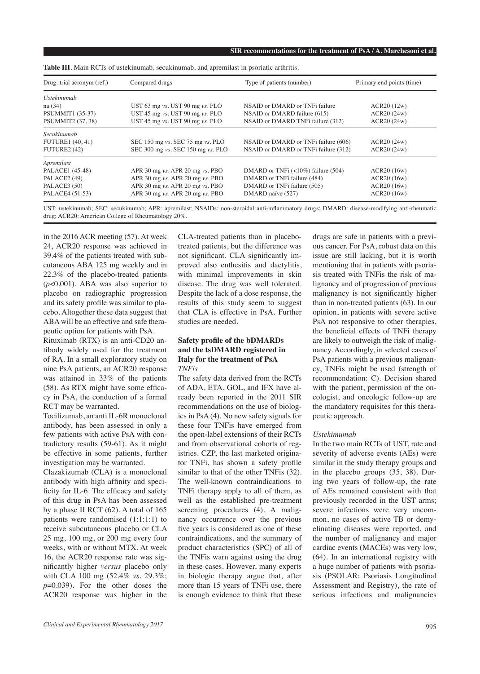| Drug: trial acronym (ref.) | Compared drugs                      | Type of patients (number)                   | Primary end points (time) |  |
|----------------------------|-------------------------------------|---------------------------------------------|---------------------------|--|
| <i>Ustekinumab</i>         |                                     |                                             |                           |  |
| na (34)                    | UST $63$ mg vs. UST $90$ mg vs. PLO | NSAID or DMARD or TNFi failure              | ACR20(12w)                |  |
| <b>PSUMMIT1 (35-37)</b>    | UST 45 mg vs. UST 90 mg vs. PLO     | NSAID or DMARD failure (615)                | ACR20(24w)                |  |
| PSUMMIT2 (37, 38)          | UST 45 mg vs. UST 90 mg vs. PLO     | NSAID or DMARD TNFi failure (312)           | ACR20(24w)                |  |
| Secukinumab                |                                     |                                             |                           |  |
| <b>FUTURE1 (40, 41)</b>    | SEC 150 mg vs. SEC 75 mg vs. PLO    | NSAID or DMARD or TNFi failure (606)        | ACR20(24w)                |  |
| FUTURE2 (42)               | SEC 300 mg vs. SEC 150 mg vs. PLO   | NSAID or DMARD or TNFi failure (312)        | ACR20(24w)                |  |
| Apremilast                 |                                     |                                             |                           |  |
| PALACE1 (45-48)            | APR 30 mg $vs.$ APR 20 mg $vs.$ PBO | DMARD or TNFi $\left($ < 10%) failure (504) | ACR20(16w)                |  |
| PALACE2 (49)               | APR 30 mg vs. APR 20 mg vs. PBO     | DMARD or TNFi failure (484)                 | ACR20(16w)                |  |
| PALACE3 (50)               | APR 30 mg vs. APR 20 mg vs. PBO     | DMARD or TNFi failure (505)                 | ACR20(16w)                |  |
| PALACE4 (51-53)            | APR 30 mg vs. APR 20 mg vs. PBO     | DMARD naïve (527)                           | ACR20(16w)                |  |

**Table III**. Main RCTs of ustekinumab, secukinumab, and apremilast in psoriatic arthritis.

UST: ustekinumab; SEC: secukinumab; APR: apremilast; NSAIDs: non-steroidal anti-inflammatory drugs; DMARD: disease-modifying anti-rheumatic drug; ACR20: American College of Rheumatology 20%.

in the 2016 ACR meeting (57). At week 24, ACR20 response was achieved in 39.4% of the patients treated with subcutaneous ABA 125 mg weekly and in 22.3% of the placebo-treated patients (*p*<0.001). ABA was also superior to placebo on radiographic progression and its safety profile was similar to placebo. Altogether these data suggest that ABA will be an effective and safe therapeutic option for patients with PsA.

Rituximab (RTX) is an anti-CD20 antibody widely used for the treatment of RA. In a small exploratory study on nine PsA patients, an ACR20 response was attained in 33% of the patients (58). As RTX might have some efficacy in PsA, the conduction of a formal RCT may be warranted.

Tocilizumab, an anti IL-6R monoclonal antibody, has been assessed in only a few patients with active PsA with contradictory results (59-61). As it might be effective in some patients, further investigation may be warranted.

Clazakizumab (CLA) is a monoclonal antibody with high affinity and specificity for IL-6. The efficacy and safety of this drug in PsA has been assessed by a phase II RCT (62). A total of 165 patients were randomised (1:1:1:1) to receive subcutaneous placebo or CLA 25 mg, 100 mg, or 200 mg every four weeks, with or without MTX. At week 16, the ACR20 response rate was significantly higher *versus* placebo only with CLA 100 mg (52.4% *vs.* 29.3%; *p*=0.039). For the other doses the ACR20 response was higher in the

CLA-treated patients than in placebotreated patients, but the difference was not significant. CLA significantly improved also enthesitis and dactylitis, with minimal improvements in skin disease. The drug was well tolerated. Despite the lack of a dose response, the results of this study seem to suggest that CLA is effective in PsA. Further studies are needed.

## **Safety profile of the bDMARDs and the tsDMARD registered in Italy for the treatment of PsA** *TNFis*

The safety data derived from the RCTs of ADA, ETA, GOL, and IFX have already been reported in the 2011 SIR recommendations on the use of biologics in PsA (4). No new safety signals for these four TNFis have emerged from the open-label extensions of their RCTs and from observational cohorts of registries. CZP, the last marketed originator TNFi, has shown a safety profile similar to that of the other TNFis (32). The well-known contraindications to TNFi therapy apply to all of them, as well as the established pre-treatment screening procedures (4). A malignancy occurrence over the previous five years is considered as one of these contraindications, and the summary of product characteristics (SPC) of all of the TNFis warn against using the drug in these cases. However, many experts in biologic therapy argue that, after more than 15 years of TNFi use, there is enough evidence to think that these drugs are safe in patients with a previous cancer. For PsA, robust data on this issue are still lacking, but it is worth mentioning that in patients with psoriasis treated with TNFis the risk of malignancy and of progression of previous malignancy is not significantly higher than in non-treated patients (63). In our opinion, in patients with severe active PsA not responsive to other therapies, the beneficial effects of TNFi therapy are likely to outweigh the risk of malignancy. Accordingly, in selected cases of PsA patients with a previous malignancy, TNFis might be used (strength of recommendation: C). Decision shared with the patient, permission of the oncologist, and oncologic follow-up are the mandatory requisites for this therapeutic approach.

### *Ustekimumab*

In the two main RCTs of UST, rate and severity of adverse events (AEs) were similar in the study therapy groups and in the placebo groups (35, 38). During two years of follow-up, the rate of AEs remained consistent with that previously recorded in the UST arms; severe infections were very uncommon, no cases of active TB or demyelinating diseases were reported, and the number of malignancy and major cardiac events (MACEs) was very low, (64). In an international registry with a huge number of patients with psoriasis (PSOLAR: Psoriasis Longitudinal Assessment and Registry), the rate of serious infections and malignancies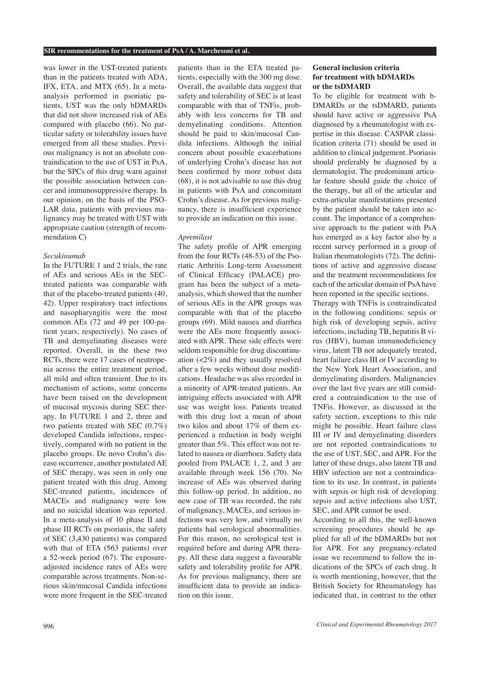was lower in the UST-treated patients than in the patients treated with ADA, IFX, ETA, and MTX (65). In a metaanalysis performed in psoriatic patients, UST was the only bDMARDs that did not show increased risk of AEs compared with placebo (66). No particular safety or tolerability issues have emerged from all these studies. Previous malignancy is not an absolute contraindication to the use of UST in PsA, but the SPCs of this drug warn against the possible association between cancer and immunosuppressive therapy. In our opinion, on the basis of the PSO-LAR data, patients with previous malignancy may be treated with UST with appropriate caution (strength of recommendation C)

## *Secukinumab*

In the FUTURE 1 and 2 trials, the rate of AEs and serious AEs in the SECtreated patients was comparable with that of the placebo-treated patients (40, 42). Upper respiratory tract infections and nasopharyngitis were the most common AEs (72 and 49 per 100-patient years, respectively). No cases of TB and demyelinating diseases were reported. Overall, in the these two RCTs, there were 17 cases of neutropenia across the entire treatment period, all mild and often transient. Due to its mechanism of actions, some concerns have been raised on the development of mucosal mycosis during SEC therapy. In FUTURE 1 and 2, three and two patients treated with SEC (0.7%) developed Candida infections, respectively, compared with no patient in the placebo groups. De novo Crohn's disease occurrence, another postulated AE of SEC therapy, was seen in only one patient treated with this drug. Among SEC-treated patients, incidences of MACEs and malignancy were low and no suicidal ideation was reported. In a meta-analysis of 10 phase II and phase III RCTs on psoriasis, the safety of SEC (3,430 patients) was compared with that of ETA (563 patients) over a 52-week period (67). The exposureadjusted incidence rates of AEs were comparable across treatments. Non-serious skin/mucosal Candida infections were more frequent in the SEC-treated

patients than in the ETA treated patients, especially with the 300 mg dose. Overall, the available data suggest that safety and tolerability of SEC is at least comparable with that of TNFis, probably with less concerns for TB and demyelinating conditions. Attention should be paid to skin/mucosal Candida infections. Although the initial concern about possible exacerbations of underlying Crohn's disease has not been confirmed by more robust data (68), it is not advisable to use this drug in patients with PsA and concomitant Crohn's disease. As for previous malignancy, there is insufficient experience to provide an indication on this issue.

#### *Apremilast*

The safety profile of APR emerging from the four RCTs (48-53) of the Psoriatic Arthritis Long-term Assessment of Clinical Efficacy (PALACE) program has been the subject of a metaanalysis, which showed that the number of serious AEs in the APR groups was comparable with that of the placebo groups (69). Mild nausea and diarrhea were the AEs more frequently associated with APR. These side effects were seldom responsible for drug discontinuation (<2%) and they usually resolved after a few weeks without dose modifications. Headache was also recorded in a minority of APR-treated patients. An intriguing effects associated with APR use was weight loss. Patients treated with this drug lost a mean of about two kilos and about 17% of them experienced a reduction in body weight greater than 5%. This effect was not related to nausea or diarrhoea. Safety data pooled from PALACE 1, 2, and 3 are available through week 156 (70). No increase of AEs was observed during this follow-up period. In addition, no new case of TB was recorded, the rate of malignancy, MACEs, and serious infections was very low, and virtually no patients had serological abnormalities. For this reason, no serological test is required before and during APR therapy. All these data suggest a favourable safety and tolerability profile for APR. As for previous malignancy, there are insufficient data to provide an indication on this issue.

## **General inclusion criteria for treatment with bDMARDs or the tsDMARD**

To be eligible for treatment with b-DMARDs or the tsDMARD, patients should have active or aggressive PsA diagnosed by a rheumatologist with expertise in this disease. CASPAR classification criteria (71) should be used in addition to clinical judgement. Psoriasis should preferably be diagnosed by a dermatologist. The predominant articular feature should guide the choice of the therapy, but all of the articular and extra-articular manifestations presented by the patient should be taken into account. The importance of a comprehensive approach to the patient with PsA has emerged as a key factor also by a recent survey performed in a group of Italian rheumatologists (72). The definitions of active and aggressive disease and the treatment recommendations for each of the articular domain of PsA have been reported in the specific sections.

Therapy with TNFis is contraindicated in the following conditions: sepsis or high risk of developing sepsis, active infections, including TB, hepatitis B virus (HBV), human immunodeficiency virus, latent TB not adequately treated, heart failure class III or IV according to the New York Heart Association, and demyelinating disorders. Malignancies over the last five years are still considered a contraindication to the use of TNFis. However, as discussed in the safety section, exceptions to this rule might be possible. Heart failure class III or IV and demyelinating disorders are not reported contraindications to the use of UST, SEC, and APR. For the latter of these drugs, also latent TB and HBV infection are not a contraindication to its use. In contrast, in patients with sepsis or high risk of developing sepsis and active infections also UST, SEC, and APR cannot be used.

According to all this, the well-known screening procedures should be applied for all of the bDMARDs but not for APR. For any pregnancy-related issue we recommend to follow the indications of the SPCs of each drug. It is worth mentioning, however, that the British Society for Rheumatology has indicated that, in contrast to the other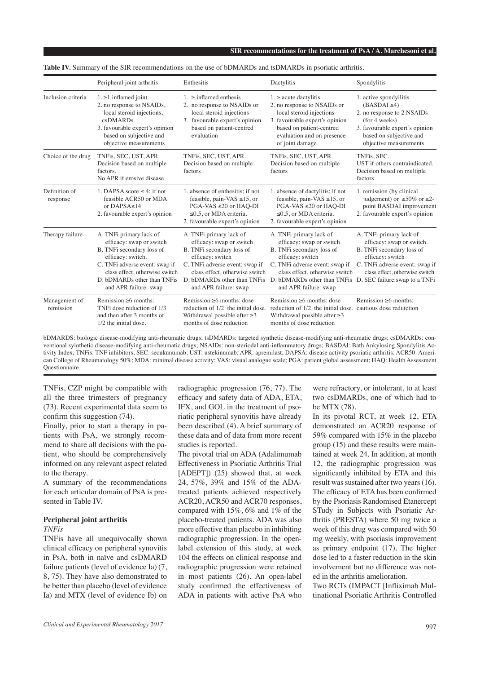|                            | Peripheral joint arthritis                                                                                                                                                                                                        | Enthesitis                                                                                                                                                                                                                       | Dactylitis                                                                                                                                                                                                                       | Spondylitis                                                                                                                                                                                                 |
|----------------------------|-----------------------------------------------------------------------------------------------------------------------------------------------------------------------------------------------------------------------------------|----------------------------------------------------------------------------------------------------------------------------------------------------------------------------------------------------------------------------------|----------------------------------------------------------------------------------------------------------------------------------------------------------------------------------------------------------------------------------|-------------------------------------------------------------------------------------------------------------------------------------------------------------------------------------------------------------|
| Inclusion criteria         | $1. \geq 1$ inflamed joint<br>2. no response to NSAIDs,<br>local steroid injections,<br>csDMARDs<br>3. favourable expert's opinion<br>based on subjective and<br>objective measurements                                           | $1.$ > inflamed enthesis<br>2. no response to NSAIDs or<br>local steroid injections<br>3. favourable expert's opinion<br>based on patient-centred<br>evaluation                                                                  | $1 \geq$ acute dactylitis<br>2. no response to NSAIDs or<br>local steroid injections<br>3. favourable expert's opinion<br>based on patient-centred<br>evaluation and on presence<br>of joint damage                              | 1. active spondyilitis<br>$(BASDAL \ge 4)$<br>2. no response to 2 NSAIDs<br>(for 4 weeks)<br>3. favourable expert's opinion<br>based on subjective and<br>objective measurements                            |
| Choice of the drug         | TNFis, SEC, UST, APR.<br>Decision based on multiple<br>factors.<br>No APR if erosive disease                                                                                                                                      | TNFis, SEC, UST, APR.<br>Decision based on multiple<br>factors                                                                                                                                                                   | TNFis, SEC, UST, APR.<br>Decision based on multiple<br>factors                                                                                                                                                                   | TNFis, SEC.<br>UST if others contraindicated.<br>Decision based on multiple<br>factors                                                                                                                      |
| Definition of<br>response  | 1. DAPSA score $\leq 4$ ; if not<br>feasible ACR50 or MDA<br>or $DAPSA < 14$<br>2. favourable expert's opinion                                                                                                                    | 1. absence of enthesitis: if not<br>feasible, pain-VAS $\leq$ 15, or<br>$PGA-VAS \leq 20$ or $HAQ-DI$<br>$\leq$ 0.5, or MDA criteria.<br>2. favourable expert's opinion                                                          | 1. absence of dactylitis; if not<br>feasible, pain-VAS $\leq$ 15, or<br>$PGA-VAS \leq 20$ or $HAQ-DI$<br>$\leq$ 0.5, or MDA criteria.<br>2. favourable expert's opinion                                                          | 1. remission (by clinical<br>judgement) or $\geq 50\%$ or $\geq 2$ -<br>point BASDAI improvement<br>2. favourable expert's opinion                                                                          |
| Therapy failure            | A. TNFi primary lack of<br>efficacy: swap or switch<br>B. TNFi secondary loss of<br>efficacy: switch.<br>C. TNFi adverse event: swap if<br>class effect, otherwise switch<br>D. bDMARDs other than TNFis<br>and APR failure: swap | A. TNFi primary lack of<br>efficacy: swap or switch<br>B. TNFi secondary loss of<br>efficacy: switch<br>C. TNFi adverse event: swap if<br>class effect, otherwise switch<br>D. bDMARDs other than TNFis<br>and APR failure: swap | A. TNFi primary lack of<br>efficacy: swap or switch<br>B. TNFi secondary loss of<br>efficacy: switch<br>C. TNFi adverse event: swap if<br>class effect, otherwise switch<br>D. bDMARDs other than TNFis<br>and APR failure: swap | A. TNFi primary lack of<br>efficacy: swap or switch.<br>B. TNFi secondary loss of<br>efficacy: switch<br>C. TNFi adverse event: swap if<br>class effect, otherwise switch<br>D. SEC failure: swap to a TNFi |
| Management of<br>remission | Remission >6 months:<br>TNFi dose reduction of 1/3<br>and then after 3 months of<br>$1/2$ the initial dose.                                                                                                                       | Remission >6 months: dose<br>reduction of 1/2 the initial dose.<br>Withdrawal possible after $\geq$ 3<br>months of dose reduction                                                                                                | Remission >6 months: dose<br>reduction of 1/2 the initial dose.<br>Withdrawal possible after $\geq$ 3<br>months of dose reduction                                                                                                | Remission >6 months:<br>cautious dose redutction                                                                                                                                                            |

Table IV. Summary of the SIR recommendations on the use of bDMARDs and tsDMARDs in psoriatic arthritis.

bDMARDS: biologic disease-modifying anti-rheumatic drugs; tsDMARDs: targeted synthetic disease-modifying anti-rheumatic drugs; csDMARDs: conventional syinthetic disease-modifying anti-rheumatic drugs; NSAIDs: non-steriodal anti-inflammatory drugs; BASDAI: Bath Ankylosing Spondylitis Activity Index; TNFis: TNF inhibitors; SEC: secukunumab; UST: ustekinumab; APR: apremilast; DAPSA: disease activity psoriatic arthritis; ACR50: American College of Rheumatology 50%; MDA: minimal disease activity; VAS: visual analogue scale; PGA: patient global assessment; HAQ: Health Assessment Questionnaire.

TNFis, CZP might be compatible with all the three trimesters of pregnancy (73). Recent experimental data seem to confirm this suggestion (74).

Finally, prior to start a therapy in patients with PsA, we strongly recommend to share all decisions with the patient, who should be comprehensively informed on any relevant aspect related to the therapy.

A summary of the recommendations for each articular domain of PsA is presented in Table IV.

# **Peripheral joint arthritis**

## *TNFis*

TNFis have all unequivocally shown clinical efficacy on peripheral synovitis in PsA, both in naïve and csDMARD failure patients (level of evidence Ia) (7, 8, 75). They have also demonstrated to be better than placebo (level of evidence Ia) and MTX (level of evidence Ib) on

radiographic progression (76, 77). The efficacy and safety data of ADA, ETA, IFX, and GOL in the treatment of psoriatic peripheral synovitis have already been described (4). A brief summary of these data and of data from more recent studies is reported.

The pivotal trial on ADA (Adalimumab Effectiveness in Psoriatic Arthritis Trial [ADEPT]) (25) showed that, at week 24, 57%, 39% and 15% of the ADAtreated patients achieved respectively ACR20, ACR50 and ACR70 responses, compared with 15%, 6% and 1% of the placebo-treated patients. ADA was also more effective than placebo in inhibiting radiographic progression. In the openlabel extension of this study, at week 104 the effects on clinical response and radiographic progression were retained in most patients (26). An open-label study confirmed the effectiveness of ADA in patients with active PsA who

were refractory, or intolerant, to at least two csDMARDs, one of which had to be MTX (78).

In its pivotal RCT, at week 12, ETA demonstrated an ACR20 response of 59% compared with 15% in the placebo group (15) and these results were maintained at week 24. In addition, at month 12, the radiographic progression was significantly inhibited by ETA and this result was sustained after two years (16). The efficacy of ETA has been confirmed by the Psoriasis Randomised Etanercept STudy in Subjects with Psoriatic Arthritis (PRESTA) where 50 mg twice a week of this drug was compared with 50 mg weekly, with psoriasis improvement as primary endpoint (17). The higher dose led to a faster reduction in the skin involvement but no difference was noted in the arthritis amelioration.

Two RCTs (IMPACT [Infliximab Multinational Psoriatic Arthritis Controlled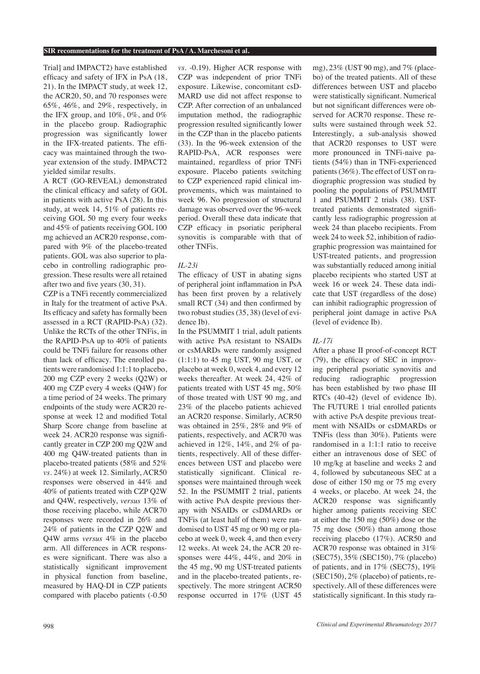Trial] and IMPACT2) have established efficacy and safety of IFX in PsA (18, 21). In the IMPACT study, at week 12, the ACR20, 50, and 70 responses were 65%, 46%, and 29%, respectively, in the IFX group, and 10%, 0%, and 0% in the placebo group. Radiographic progression was significantly lower in the IFX-treated patients. The efficacy was maintained through the twoyear extension of the study. IMPACT2 yielded similar results.

A RCT (GO-REVEAL) demonstrated the clinical efficacy and safety of GOL in patients with active PsA (28). In this study, at week 14, 51% of patients receiving GOL 50 mg every four weeks and 45% of patients receiving GOL 100 mg achieved an ACR20 response, compared with 9% of the placebo-treated patients. GOL was also superior to placebo in controlling radiographic progression. These results were all retained after two and five years (30, 31).

CZP is a TNFi recently commercialized in Italy for the treatment of active PsA. Its efficacy and safety has formally been assessed in a RCT (RAPID-PsA) (32). Unlike the RCTs of the other TNFis, in the RAPID-PsA up to 40% of patients could be TNFi failure for reasons other than lack of efficacy. The enrolled patients were randomised 1:1:1 to placebo, 200 mg CZP every 2 weeks (Q2W) or 400 mg CZP every 4 weeks (Q4W) for a time period of 24 weeks. The primary endpoints of the study were ACR20 response at week 12 and modified Total Sharp Score change from baseline at week 24. ACR20 response was significantly greater in CZP 200 mg Q2W and 400 mg Q4W-treated patients than in placebo-treated patients (58% and 52% *vs.* 24%) at week 12. Similarly, ACR50 responses were observed in 44% and 40% of patients treated with CZP Q2W and Q4W, respectively, *versus* 13% of those receiving placebo, while ACR70 responses were recorded in 26% and 24% of patients in the CZP Q2W and Q4W arms *versus* 4% in the placebo arm. All differences in ACR responses were significant. There was also a statistically significant improvement in physical function from baseline, measured by HAQ-DI in CZP patients compared with placebo patients (-0.50

*vs.* -0.19). Higher ACR response with CZP was independent of prior TNFi exposure. Likewise, concomitant csD-MARD use did not affect response to CZP. After correction of an unbalanced imputation method, the radiographic progression resulted significantly lower in the CZP than in the placebo patients (33). In the 96-week extension of the RAPID-PsA, ACR responses were maintained, regardless of prior TNFi exposure. Placebo patients switching to CZP experienced rapid clinical improvements, which was maintained to week 96. No progression of structural damage was observed over the 96-week period. Overall these data indicate that CZP efficacy in psoriatic peripheral synovitis is comparable with that of other TNFis.

## *IL-23i*

The efficacy of UST in abating signs of peripheral joint inflammation in PsA has been first proven by a relatively small RCT (34) and then confirmed by two robust studies (35, 38) (level of evidence Ib).

In the PSUMMIT 1 trial, adult patients with active PsA resistant to NSAIDs or csMARDs were randomly assigned (1:1:1) to 45 mg UST, 90 mg UST, or placebo at week 0, week 4, and every 12 weeks thereafter. At week 24, 42% of patients treated with UST 45 mg, 50% of those treated with UST 90 mg, and 23% of the placebo patients achieved an ACR20 response. Similarly, ACR50 was obtained in 25%, 28% and 9% of patients, respectively, and ACR70 was achieved in 12%, 14%, and 2% of patients, respectively. All of these differences between UST and placebo were statistically significant. Clinical responses were maintained through week 52. In the PSUMMIT 2 trial, patients with active PsA despite previous therapy with NSAIDs or csDMARDs or TNFis (at least half of them) were randomised to UST 45 mg or 90 mg or placebo at week 0, week 4, and then every 12 weeks. At week 24, the ACR 20 responses were 44%, 44%, and 20% in the 45 mg, 90 mg UST-treated patients and in the placebo-treated patients, respectively. The more stringent ACR50 response occurred in 17% (UST 45

mg), 23% (UST 90 mg), and 7% (placebo) of the treated patients. All of these differences between UST and placebo were statistically significant. Numerical but not significant differences were observed for ACR70 response. These results were sustained through week 52. Interestingly, a sub-analysis showed that ACR20 responses to UST were more pronounced in TNFi-naive patients (54%) than in TNFi-experienced patients (36%). The effect of UST on radiographic progression was studied by pooling the populations of PSUMMIT 1 and PSUMMIT 2 trials (38). USTtreated patients demonstrated significantly less radiographic progression at week 24 than placebo recipients. From week 24 to week 52, inhibition of radiographic progression was maintained for UST-treated patients, and progression was substantially reduced among initial placebo recipients who started UST at week 16 or week 24. These data indicate that UST (regardless of the dose) can inhibit radiographic progression of peripheral joint damage in active PsA (level of evidence Ib).

# *IL-17i*

After a phase II proof-of-concept RCT (79), the efficacy of SEC in improving peripheral psoriatic synovitis and reducing radiographic progression has been established by two phase III RTCs (40-42) (level of evidence Ib). The FUTURE 1 trial enrolled patients with active PsA despite previous treatment with NSAIDs or csDMARDs or TNFis (less than 30%). Patients were randomised in a 1:1:1 ratio to receive either an intravenous dose of SEC of 10 mg/kg at baseline and weeks 2 and 4, followed by subcutaneous SEC at a dose of either 150 mg or 75 mg every 4 weeks, or placebo. At week 24, the ACR20 response was significantly higher among patients receiving SEC at either the 150 mg (50%) dose or the 75 mg dose (50%) than among those receiving placebo (17%). ACR50 and ACR70 response was obtained in 31% (SEC75), 35% (SEC150), 7% (placebo) of patients, and in 17% (SEC75), 19% (SEC150), 2% (placebo) of patients, respectively. All of these differences were statistically significant. In this study ra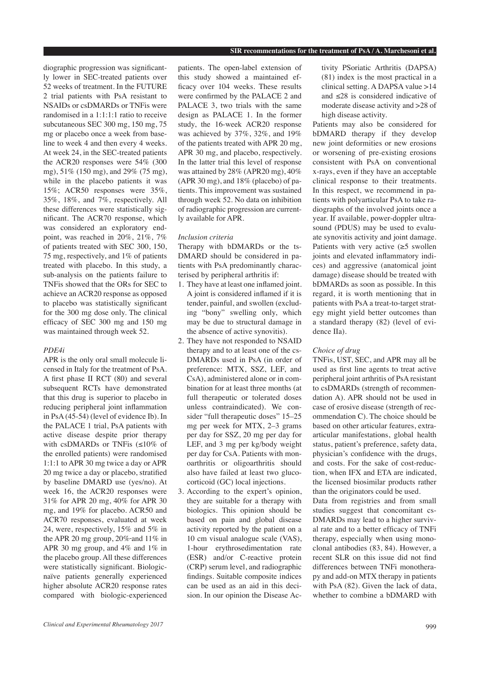diographic progression was significantly lower in SEC-treated patients over 52 weeks of treatment. In the FUTURE 2 trial patients with PsA resistant to NSAIDs or csDMARDs or TNFis were randomised in a 1:1:1:1 ratio to receive subcutaneous SEC 300 mg, 150 mg, 75 mg or placebo once a week from baseline to week 4 and then every 4 weeks. At week 24, in the SEC-treated patients the ACR20 responses were 54% (300 mg), 51% (150 mg), and 29% (75 mg), while in the placebo patients it was 15%; ACR50 responses were 35%, 35%, 18%, and 7%, respectively. All these differences were statistically significant. The ACR70 response, which was considered an exploratory endpoint, was reached in 20%, 21%, 7% of patients treated with SEC 300, 150, 75 mg, respectively, and 1% of patients treated with placebo. In this study, a sub-analysis on the patients failure to TNFis showed that the ORs for SEC to achieve an ACR20 response as opposed to placebo was statistically significant for the 300 mg dose only. The clinical efficacy of SEC 300 mg and 150 mg was maintained through week 52.

#### *PDE4i*

APR is the only oral small molecule licensed in Italy for the treatment of PsA. A first phase II RCT (80) and several subsequent RCTs have demonstrated that this drug is superior to placebo in reducing peripheral joint inflammation in PsA (45-54) (level of evidence Ib). In the PALACE 1 trial, PsA patients with active disease despite prior therapy with csDMARDs or TNFis (≤10% of the enrolled patients) were randomised 1:1:1 to APR 30 mg twice a day or APR 20 mg twice a day or placebo, stratified by baseline DMARD use (yes/no). At week 16, the ACR20 responses were 31% for APR 20 mg, 40% for APR 30 mg, and 19% for placebo. ACR50 and ACR70 responses, evaluated at week 24, were, respectively, 15% and 5% in the APR 20 mg group,  $20\%$ -and  $11\%$  in APR 30 mg group, and 4% and 1% in the placebo group. All these differences were statistically significant. Biologicnaïve patients generally experienced higher absolute ACR20 response rates compared with biologic-experienced

patients. The open-label extension of this study showed a maintained efficacy over 104 weeks. These results were confirmed by the PALACE 2 and PALACE 3, two trials with the same design as PALACE 1. In the former study, the 16-week ACR20 response was achieved by 37%, 32%, and 19% of the patients treated with APR 20 mg, APR 30 mg, and placebo, respectively. In the latter trial this level of response was attained by 28% (APR20 mg), 40% (APR 30 mg), and 18% (placebo) of patients. This improvement was sustained through week 52. No data on inhibition of radiographic progression are currently available for APR.

#### *Inclusion criteria*

Therapy with bDMARDs or the ts-DMARD should be considered in patients with PsA predominantly characterised by peripheral arthritis if:

- 1. They have at least one inflamed joint. A joint is considered inflamed if it is tender, painful, and swollen (excluding "bony" swelling only, which may be due to structural damage in the absence of active synovitis).
- 2. They have not responded to NSAID therapy and to at least one of the cs-DMARDs used in PsA (in order of preference: MTX, SSZ, LEF, and CsA), administered alone or in combination for at least three months (at full therapeutic or tolerated doses unless contraindicated). We consider "full therapeutic doses" 15–25 mg per week for MTX, 2–3 grams per day for SSZ, 20 mg per day for LEF, and 3 mg per kg/body weight per day for CsA. Patients with monoarthritis or oligoarthritis should also have failed at least two glucocorticoid (GC) local injections.
- 3. According to the expert's opinion, they are suitable for a therapy with biologics. This opinion should be based on pain and global disease activity reported by the patient on a 10 cm visual analogue scale (VAS), 1-hour erythrosedimentation rate (ESR) and/or C-reactive protein (CRP) serum level, and radiographic findings. Suitable composite indices can be used as an aid in this decision. In our opinion the Disease Ac-

tivity PSoriatic Arthritis (DAPSA) (81) index is the most practical in a clinical setting. A DAPSA value >14 and ≤28 is considered indicative of moderate disease activity and >28 of high disease activity.

Patients may also be considered for bDMARD therapy if they develop new joint deformities or new erosions or worsening of pre-existing erosions consistent with PsA on conventional x-rays, even if they have an acceptable clinical response to their treatments. In this respect, we recommend in patients with polyarticular PsA to take radiographs of the involved joints once a year. If available, power-doppler ultrasound (PDUS) may be used to evaluate synovitis activity and joint damage. Patients with very active  $(\geq 5$  swollen joints and elevated inflammatory indices) and aggressive (anatomical joint damage) disease should be treated with bDMARDs as soon as possible. In this regard, it is worth mentioning that in patients with PsA a treat-to-target strategy might yield better outcomes than a standard therapy (82) (level of evidence IIa).

#### *Choice of drug*

TNFis, UST, SEC, and APR may all be used as first line agents to treat active peripheral joint arthritis of PsA resistant to csDMARDs (strength of recommendation A). APR should not be used in case of erosive disease (strength of recommendation C). The choice should be based on other articular features, extraarticular manifestations, global health status, patient's preference, safety data, physician's confidence with the drugs, and costs. For the sake of cost-reduction, when IFX and ETA are indicated, the licensed biosimilar products rather than the originators could be used.

Data from registries and from small studies suggest that concomitant cs-DMARDs may lead to a higher survival rate and to a better efficacy of TNFi therapy, especially when using monoclonal antibodies (83, 84). However, a recent SLR on this issue did not find differences between TNFi monotherapy and add-on MTX therapy in patients with PsA (82). Given the lack of data, whether to combine a bDMARD with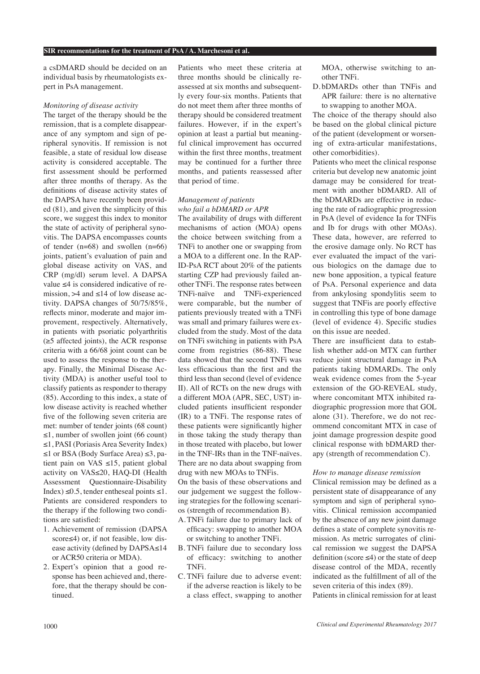a csDMARD should be decided on an individual basis by rheumatologists expert in PsA management.

## *Monitoring of disease activity*

The target of the therapy should be the remission, that is a complete disappearance of any symptom and sign of peripheral synovitis. If remission is not feasible, a state of residual low disease activity is considered acceptable. The first assessment should be performed after three months of therapy. As the definitions of disease activity states of the DAPSA have recently been provided (81), and given the simplicity of this score, we suggest this index to monitor the state of activity of peripheral synovitis. The DAPSA encompasses counts of tender (n=68) and swollen (n=66) joints, patient's evaluation of pain and global disease activity on VAS, and CRP (mg/dl) serum level. A DAPSA value ≤4 is considered indicative of remission,  $>4$  and  $\leq$ 14 of low disease activity. DAPSA changes of 50/75/85%, reflects minor, moderate and major improvement, respectively. Alternatively, in patients with psoriatic polyarthritis (≥5 affected joints), the ACR response criteria with a 66/68 joint count can be used to assess the response to the therapy. Finally, the Minimal Disease Activity (MDA) is another useful tool to classify patients as responder to therapy (85). According to this index, a state of low disease activity is reached whether five of the following seven criteria are met: number of tender joints (68 count) ≤1, number of swollen joint (66 count) ≤1, PASI (Poriasis Area Severity Index) ≤1 or BSA (Body Surface Area) ≤3, patient pain on VAS ≤15, patient global activity on VAS≤20, HAQ-DI (Health Assessment Questionnaire-Disability Index)  $\leq 0.5$ , tender entheseal points  $\leq 1$ . Patients are considered responders to the therapy if the following two conditions are satisfied:

- 1. Achievement of remission (DAPSA score≤4) or, if not feasible, low disease activity (defined by DAPSA≤14 or ACR50 criteria or MDA).
- 2. Expert's opinion that a good response has been achieved and, therefore, that the therapy should be continued.

Patients who meet these criteria at three months should be clinically reassessed at six months and subsequently every four-six months. Patients that do not meet them after three months of therapy should be considered treatment failures. However, if in the expert's opinion at least a partial but meaningful clinical improvement has occurred within the first three months, treatment may be continued for a further three months, and patients reassessed after that period of time.

#### *Management of patients who fail a bDMARD or APR*

The availability of drugs with different mechanisms of action (MOA) opens the choice between switching from a TNFi to another one or swapping from a MOA to a different one. In the RAP-ID-PsA RCT about 20% of the patients starting CZP had previously failed another TNFi. The response rates between TNFi-naïve and TNFi-experienced were comparable, but the number of patients previously treated with a TNFi was small and primary failures were excluded from the study. Most of the data on TNFi switching in patients with PsA come from registries (86-88). These data showed that the second TNFi was less efficacious than the first and the third less than second (level of evidence II). All of RCTs on the new drugs with a different MOA (APR, SEC, UST) included patients insufficient responder (IR) to a TNFi. The response rates of these patients were significantly higher in those taking the study therapy than in those treated with placebo, but lower in the TNF-IRs than in the TNF-naïves. There are no data about swapping from drug with new MOAs to TNFis.

On the basis of these observations and our judgement we suggest the following strategies for the following scenarios (strength of recommendation B).

- A. TNFi failure due to primary lack of efficacy: swapping to another MOA or switching to another TNFi.
- B. TNFi failure due to secondary loss of efficacy: switching to another TNFi.
- C. TNFi failure due to adverse event: if the adverse reaction is likely to be a class effect, swapping to another

MOA, otherwise switching to another TNFi.

D. bDMARDs other than TNFis and APR failure: there is no alternative to swapping to another MOA.

The choice of the therapy should also be based on the global clinical picture of the patient (development or worsening of extra-articular manifestations, other comorbidities).

Patients who meet the clinical response criteria but develop new anatomic joint damage may be considered for treatment with another bDMARD. All of the bDMARDs are effective in reducing the rate of radiographic progression in PsA (level of evidence Ia for TNFis and Ib for drugs with other MOAs). These data, however, are referred to the erosive damage only. No RCT has ever evaluated the impact of the various biologics on the damage due to new bone apposition, a typical feature of PsA. Personal experience and data from ankylosing spondylitis seem to suggest that TNFis are poorly effective in controlling this type of bone damage (level of evidence 4). Specific studies on this issue are needed.

There are insufficient data to establish whether add-on MTX can further reduce joint structural damage in PsA patients taking bDMARDs. The only weak evidence comes from the 5-year extension of the GO-REVEAL study, where concomitant MTX inhibited radiographic progression more that GOL alone (31). Therefore, we do not recommend concomitant MTX in case of joint damage progression despite good clinical response with bDMARD therapy (strength of recommendation C).

#### *How to manage disease remission*

Clinical remission may be defined as a persistent state of disappearance of any symptom and sign of peripheral synovitis. Clinical remission accompanied by the absence of any new joint damage defines a state of complete synovitis remission. As metric surrogates of clinical remission we suggest the DAPSA definition (score ≤4) or the state of deep disease control of the MDA, recently indicated as the fulfillment of all of the seven criteria of this index (89).

Patients in clinical remission for at least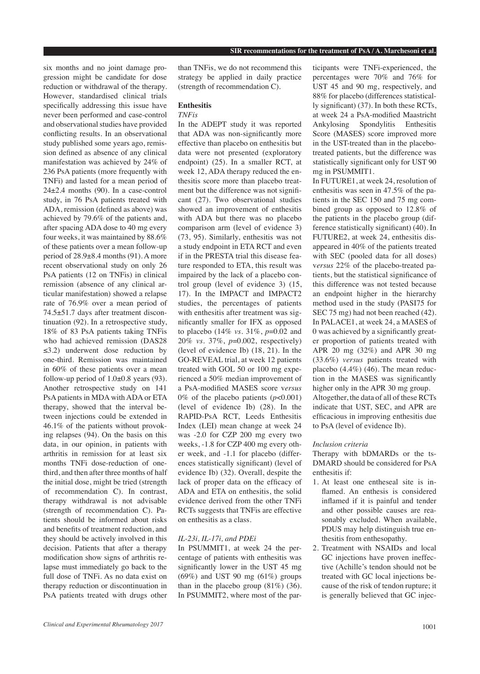six months and no joint damage progression might be candidate for dose reduction or withdrawal of the therapy. However, standardised clinical trials specifically addressing this issue have never been performed and case-control and observational studies have provided conflicting results. In an observational study published some years ago, remission defined as absence of any clinical manifestation was achieved by 24% of 236 PsA patients (more frequently with TNFi) and lasted for a mean period of  $24\pm2.4$  months (90). In a case-control study, in 76 PsA patients treated with ADA, remission (defined as above) was achieved by 79.6% of the patients and, after spacing ADA dose to 40 mg every four weeks, it was maintained by 88.6% of these patients over a mean follow-up period of 28.9±8.4 months (91). A more recent observational study on only 26 PsA patients (12 on TNFis) in clinical remission (absence of any clinical articular manifestation) showed a relapse rate of 76.9% over a mean period of 74.5±51.7 days after treatment discontinuation (92). In a retrospective study, 18% of 83 PsA patients taking TNFis who had achieved remission (DAS28 ≤3.2) underwent dose reduction by one-third. Remission was maintained in 60% of these patients over a mean follow-up period of  $1.0\pm0.8$  years (93). Another retrospective study on 141 PsA patients in MDA with ADA or ETA therapy, showed that the interval between injections could be extended in 46.1% of the patients without provoking relapses (94). On the basis on this data, in our opinion, in patients with arthritis in remission for at least six months TNFi dose-reduction of onethird, and then after three months of half the initial dose, might be tried (strength of recommendation C). In contrast, therapy withdrawal is not advisable (strength of recommendation C). Patients should be informed about risks and benefits of treatment reduction, and they should be actively involved in this decision. Patients that after a therapy modification show signs of arthritis relapse must immediately go back to the full dose of TNFi. As no data exist on therapy reduction or discontinuation in PsA patients treated with drugs other

than TNFis, we do not recommend this strategy be applied in daily practice (strength of recommendation C).

# **Enthesitis**

# *TNFis*

In the ADEPT study it was reported that ADA was non-significantly more effective than placebo on enthesitis but data were not presented (exploratory endpoint) (25). In a smaller RCT, at week 12, ADA therapy reduced the enthesitis score more than placebo treatment but the difference was not significant (27). Two observational studies showed an improvement of enthesitis with ADA but there was no placebo comparison arm (level of evidence 3) (73, 95). Similarly, enthesitis was not a study endpoint in ETA RCT and even if in the PRESTA trial this disease feature responded to ETA, this result was impaired by the lack of a placebo control group (level of evidence 3) (15, 17). In the IMPACT and IMPACT2 studies, the percentages of patients with enthesitis after treatment was significantly smaller for IFX as opposed to placebo (14% *vs.* 31%, *p*=0.02 and 20% *vs.* 37%, *p*=0.002, respectively) (level of evidence Ib) (18, 21). In the GO-REVEAL trial, at week 12 patients treated with GOL 50 or 100 mg experienced a 50% median improvement of a PsA-modified MASES score v*ersus* 0% of the placebo patients (*p*<0.001) (level of evidence Ib) (28). In the RAPID-PsA RCT, Leeds Enthesitis Index (LEI) mean change at week 24 was -2.0 for CZP 200 mg every two weeks, -1.8 for CZP 400 mg every other week, and -1.1 for placebo (differences statistically significant) (level of evidence Ib) (32). Overall, despite the lack of proper data on the efficacy of ADA and ETA on enthesitis, the solid evidence derived from the other TNFi RCTs suggests that TNFis are effective on enthesitis as a class.

#### *IL-23i, IL-17i, and PDEi*

In PSUMMIT1, at week 24 the percentage of patients with enthesitis was significantly lower in the UST 45 mg  $(69\%)$  and UST 90 mg  $(61\%)$  groups than in the placebo group  $(81\%)$   $(36)$ . In PSUMMIT2, where most of the par-

ticipants were TNFi-experienced, the percentages were 70% and 76% for UST 45 and 90 mg, respectively, and 88% for placebo (differences statistically significant) (37). In both these RCTs, at week 24 a PsA-modified Maastricht Ankylosing Spondylitis Enthesitis Score (MASES) score improved more in the UST-treated than in the placebotreated patients, but the difference was statistically significant only for UST 90 mg in PSUMMIT1.

In FUTURE1, at week 24, resolution of enthesitis was seen in 47.5% of the patients in the SEC 150 and 75 mg combined group as opposed to 12.8% of the patients in the placebo group (difference statistically significant) (40). In FUTURE2, at week 24, enthesitis disappeared in 40% of the patients treated with SEC (pooled data for all doses) v*ersus* 22% of the placebo-treated patients, but the statistical significance of this difference was not tested because an endpoint higher in the hierarchy method used in the study (PASI75 for SEC 75 mg) had not been reached  $(42)$ . In PALACE1, at week 24, a MASES of 0 was achieved by a significantly greater proportion of patients treated with APR 20 mg (32%) and APR 30 mg (33.6%) *versus* patients treated with placebo (4.4%) (46). The mean reduction in the MASES was significantly higher only in the APR 30 mg group. Altogether, the data of all of these RCTs indicate that UST, SEC, and APR are efficacious in improving enthesitis due to PsA (level of evidence Ib).

#### *Inclusion criteria*

Therapy with bDMARDs or the ts-DMARD should be considered for PsA enthesitis if:

- 1. At least one entheseal site is inflamed. An enthesis is considered inflamed if it is painful and tender and other possible causes are reasonably excluded. When available, PDUS may help distinguish true enthesitis from enthesopathy.
- 2. Treatment with NSAIDs and local GC injections have proven ineffective (Achille's tendon should not be treated with GC local injections because of the risk of tendon rupture; it is generally believed that GC injec-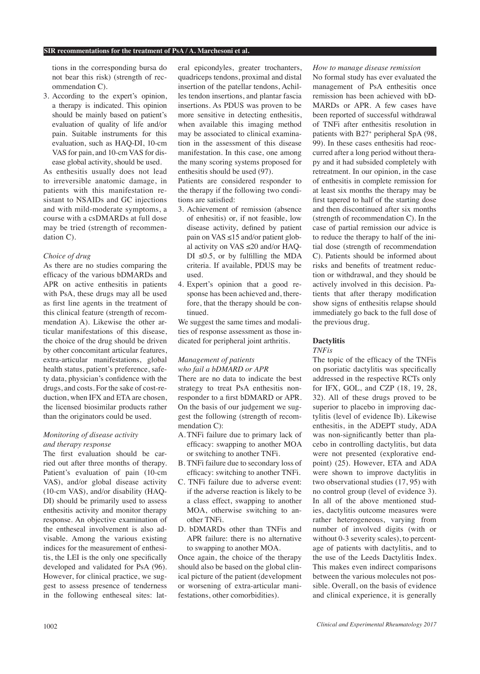tions in the corresponding bursa do not bear this risk) (strength of recommendation C).

3. According to the expert's opinion, a therapy is indicated. This opinion should be mainly based on patient's evaluation of quality of life and/or pain. Suitable instruments for this evaluation, such as HAQ-DI, 10-cm VAS for pain, and 10-cm VAS for disease global activity, should be used.

As enthesitis usually does not lead to irreversible anatomic damage, in patients with this manifestation resistant to NSAIDs and GC injections and with mild-moderate symptoms, a course with a csDMARDs at full dose may be tried (strength of recommendation C).

## *Choice of drug*

As there are no studies comparing the efficacy of the various bDMARDs and APR on active enthesitis in patients with PsA, these drugs may all be used as first line agents in the treatment of this clinical feature (strength of recommendation A). Likewise the other articular manifestations of this disease, the choice of the drug should be driven by other concomitant articular features, extra-articular manifestations, global health status, patient's preference, safety data, physician's confidence with the drugs, and costs. For the sake of cost-reduction, when IFX and ETA are chosen, the licensed biosimilar products rather than the originators could be used.

## *Monitoring of disease activity and therapy response*

The first evaluation should be carried out after three months of therapy. Patient's evaluation of pain (10-cm VAS), and/or global disease activity (10-cm VAS), and/or disability (HAQ-DI) should be primarily used to assess enthesitis activity and monitor therapy response. An objective examination of the entheseal involvement is also advisable. Among the various existing indices for the measurement of enthesitis, the LEI is the only one specifically developed and validated for PsA (96). However, for clinical practice, we suggest to assess presence of tenderness in the following entheseal sites: lateral epicondyles, greater trochanters, quadriceps tendons, proximal and distal insertion of the patellar tendons, Achilles tendon insertions, and plantar fascia insertions. As PDUS was proven to be more sensitive in detecting enthesitis, when available this imaging method may be associated to clinical examination in the assessment of this disease manifestation. In this case, one among the many scoring systems proposed for enthesitis should be used (97).

Patients are considered responder to the therapy if the following two conditions are satisfied:

- 3. Achievement of remission (absence of enhesitis) or, if not feasible, low disease activity, defined by patient pain on VAS ≤15 and/or patient global activity on VAS ≤20 and/or HAQ-DI  $\leq 0.5$ , or by fulfilling the MDA criteria. If available, PDUS may be used.
- 4. Expert's opinion that a good response has been achieved and, therefore, that the therapy should be continued.

We suggest the same times and modalities of response assessment as those indicated for peripheral joint arthritis.

## *Management of patients who fail a bDMARD or APR*

There are no data to indicate the best strategy to treat PsA enthesitis nonresponder to a first bDMARD or APR. On the basis of our judgement we suggest the following (strength of recommendation C):

- A. TNFi failure due to primary lack of efficacy: swapping to another MOA or switching to another TNFi.
- B. TNFi failure due to secondary loss of efficacy: switching to another TNFi.
- C. TNFi failure due to adverse event: if the adverse reaction is likely to be a class effect, swapping to another MOA, otherwise switching to another TNFi.
- D. bDMARDs other than TNFis and APR failure: there is no alternative to swapping to another MOA.

Once again, the choice of the therapy should also be based on the global clinical picture of the patient (development or worsening of extra-articular manifestations, other comorbidities).

#### *How to manage disease remission*

No formal study has ever evaluated the management of PsA enthesitis once remission has been achieved with bD-MARDs or APR. A few cases have been reported of successful withdrawal of TNFi after enthesitis resolution in patients with B27+ peripheral SpA (98, 99). In these cases enthesitis had reoccurred after a long period without therapy and it had subsided completely with retreatment. In our opinion, in the case of enthesitis in complete remission for at least six months the therapy may be first tapered to half of the starting dose and then discontinued after six months (strength of recommendation C). In the case of partial remission our advice is to reduce the therapy to half of the initial dose (strength of recommendation C). Patients should be informed about risks and benefits of treatment reduction or withdrawal, and they should be actively involved in this decision. Patients that after therapy modification show signs of enthesitis relapse should immediately go back to the full dose of the previous drug.

# **Dactylitis**

#### *TNFis*

The topic of the efficacy of the TNFis on psoriatic dactylitis was specifically addressed in the respective RCTs only for IFX, GOL, and CZP (18, 19, 28, 32). All of these drugs proved to be superior to placebo in improving dactylitis (level of evidence Ib). Likewise enthesitis, in the ADEPT study, ADA was non-significantly better than placebo in controlling dactylitis, but data were not presented (explorative endpoint) (25). However, ETA and ADA were shown to improve dactylitis in two observational studies (17, 95) with no control group (level of evidence 3). In all of the above mentioned studies, dactylitis outcome measures were rather heterogeneous, varying from number of involved digits (with or without 0-3 severity scales), to percentage of patients with dactylitis, and to the use of the Leeds Dactylitis Index. This makes even indirect comparisons between the various molecules not possible. Overall, on the basis of evidence and clinical experience, it is generally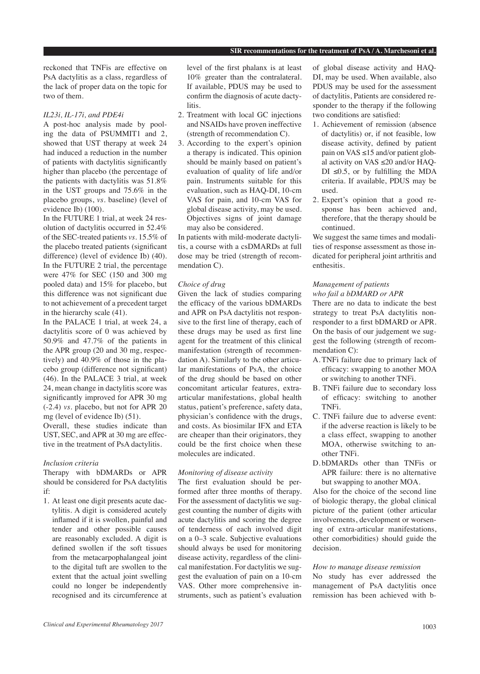reckoned that TNFis are effective on PsA dactylitis as a class, regardless of the lack of proper data on the topic for two of them.

#### *IL23i, IL-17i, and PDE4i*

A post-hoc analysis made by pooling the data of PSUMMIT1 and 2, showed that UST therapy at week 24 had induced a reduction in the number of patients with dactylitis significantly higher than placebo (the percentage of the patients with dactylitis was 51.8% in the UST groups and 75.6% in the placebo groups, *vs.* baseline) (level of evidence Ib) (100).

In the FUTURE 1 trial, at week 24 resolution of dactylitis occurred in 52.4% of the SEC-treated patients *vs.* 15.5% of the placebo treated patients (significant difference) (level of evidence Ib) (40). In the FUTURE 2 trial, the percentage were 47% for SEC (150 and 300 mg pooled data) and 15% for placebo, but this difference was not significant due to not achievement of a precedent target in the hierarchy scale (41).

In the PALACE 1 trial, at week 24, a dactylitis score of 0 was achieved by 50.9% and 47.7% of the patients in the APR group (20 and 30 mg, respectively) and 40.9% of those in the placebo group (difference not significant) (46). In the PALACE 3 trial, at week 24, mean change in dactylitis score was significantly improved for APR 30 mg (-2.4) *vs.* placebo, but not for APR 20 mg (level of evidence Ib) (51).

Overall, these studies indicate than UST, SEC, and APR at 30 mg are effective in the treatment of PsA dactylitis.

#### *Inclusion criteria*

Therapy with bDMARDs or APR should be considered for PsA dactylitis if:

1. At least one digit presents acute dactylitis. A digit is considered acutely inflamed if it is swollen, painful and tender and other possible causes are reasonably excluded. A digit is defined swollen if the soft tissues from the metacarpophalangeal joint to the digital tuft are swollen to the extent that the actual joint swelling could no longer be independently recognised and its circumference at

level of the first phalanx is at least 10% greater than the contralateral. If available, PDUS may be used to confirm the diagnosis of acute dactylitis.

- 2. Treatment with local GC injections and NSAIDs have proven ineffective (strength of recommendation C).
- 3. According to the expert's opinion a therapy is indicated. This opinion should be mainly based on patient's evaluation of quality of life and/or pain. Instruments suitable for this evaluation, such as HAQ-DI, 10-cm VAS for pain, and 10-cm VAS for global disease activity, may be used. Objectives signs of joint damage may also be considered.

In patients with mild-moderate dactylitis, a course with a csDMARDs at full dose may be tried (strength of recommendation C).

#### *Choice of drug*

Given the lack of studies comparing the efficacy of the various bDMARDs and APR on PsA dactylitis not responsive to the first line of therapy, each of these drugs may be used as first line agent for the treatment of this clinical manifestation (strength of recommendation A). Similarly to the other articular manifestations of PsA, the choice of the drug should be based on other concomitant articular features, extraarticular manifestations, global health status, patient's preference, safety data, physician's confidence with the drugs, and costs. As biosimilar IFX and ETA are cheaper than their originators, they could be the first choice when these molecules are indicated.

### *Monitoring of disease activity*

The first evaluation should be performed after three months of therapy. For the assessment of dactylitis we suggest counting the number of digits with acute dactylitis and scoring the degree of tenderness of each involved digit on a 0–3 scale. Subjective evaluations should always be used for monitoring disease activity, regardless of the clinical manifestation. For dactylitis we suggest the evaluation of pain on a 10-cm VAS. Other more comprehensive instruments, such as patient's evaluation of global disease activity and HAQ-DI, may be used. When available, also PDUS may be used for the assessment of dactylitis, Patients are considered responder to the therapy if the following two conditions are satisfied:

- 1. Achievement of remission (absence of dactylitis) or, if not feasible, low disease activity, defined by patient pain on VAS  $\leq$ 15 and/or patient global activity on VAS ≤20 and/or HAQ-DI  $\leq 0.5$ , or by fulfilling the MDA criteria. If available, PDUS may be used.
- 2. Expert's opinion that a good response has been achieved and, therefore, that the therapy should be continued.

We suggest the same times and modalities of response assessment as those indicated for peripheral joint arthritis and enthesitis.

# *Management of patients who fail a bDMARD or APR*

There are no data to indicate the best strategy to treat PsA dactylitis nonresponder to a first bDMARD or APR. On the basis of our judgement we suggest the following (strength of recommendation C):

- A. TNFi failure due to primary lack of efficacy: swapping to another MOA or switching to another TNFi.
- B. TNFi failure due to secondary loss of efficacy: switching to another TNFi.
- C. TNFi failure due to adverse event: if the adverse reaction is likely to be a class effect, swapping to another MOA, otherwise switching to another TNFi.
- D. bDMARDs other than TNFis or APR failure: there is no alternative but swapping to another MOA.

Also for the choice of the second line of biologic therapy, the global clinical picture of the patient (other articular involvements, development or worsening of extra-articular manifestations, other comorbidities) should guide the decision.

### *How to manage disease remission*

No study has ever addressed the management of PsA dactylitis once remission has been achieved with b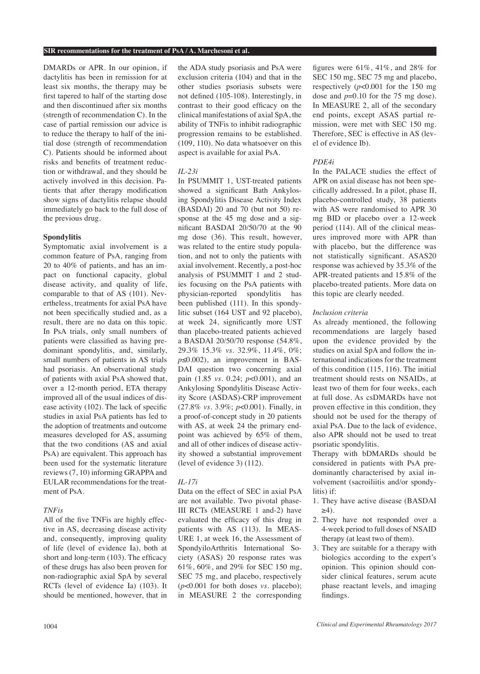DMARDs or APR. In our opinion, if dactylitis has been in remission for at least six months, the therapy may be first tapered to half of the starting dose and then discontinued after six months (strength of recommendation C). In the case of partial remission our advice is to reduce the therapy to half of the initial dose (strength of recommendation C). Patients should be informed about risks and benefits of treatment reduction or withdrawal, and they should be actively involved in this decision. Patients that after therapy modification show signs of dactylitis relapse should immediately go back to the full dose of the previous drug.

## **Spondylitis**

Symptomatic axial involvement is a common feature of PsA, ranging from 20 to 40% of patients, and has an impact on functional capacity, global disease activity, and quality of life, comparable to that of AS (101). Nevertheless, treatments for axial PsA have not been specifically studied and, as a result, there are no data on this topic. In PsA trials, only small numbers of patients were classified as having predominant spondylitis, and, similarly, small numbers of patients in AS trials had psoriasis. An observational study of patients with axial PsA showed that, over a 12-month period, ETA therapy improved all of the usual indices of disease activity (102). The lack of specific studies in axial PsA patients has led to the adoption of treatments and outcome measures developed for AS, assuming that the two conditions (AS and axial PsA) are equivalent. This approach has been used for the systematic literature reviews (7, 10) informing GRAPPA and EULAR recommendations for the treatment of PsA.

#### *TNFis*

All of the five TNFis are highly effective in AS, decreasing disease activity and, consequently, improving quality of life (level of evidence Ia), both at short and long-term (103). The efficacy of these drugs has also been proven for non-radiographic axial SpA by several RCTs (level of evidence Ia) (103). It should be mentioned, however, that in the ADA study psoriasis and PsA were exclusion criteria (104) and that in the other studies psoriasis subsets were not defined (105-108). Interestingly, in contrast to their good efficacy on the clinical manifestations of axial SpA, the ability of TNFis to inhibit radiographic progression remains to be established. (109, 110). No data whatsoever on this aspect is available for axial PsA.

#### *IL-23i*

In PSUMMIT 1, UST-treated patients showed a significant Bath Ankylosing Spondylitis Disease Activity Index (BASDAI) 20 and 70 (but not 50) response at the 45 mg dose and a significant BASDAI 20/50/70 at the 90 mg dose (36). This result, however, was related to the entire study population, and not to only the patients with axial involvement. Recently, a post-hoc analysis of PSUMMIT 1 and 2 studies focusing on the PsA patients with physician-reported spondylitis has been published (111). In this spondylitic subset (164 UST and 92 placebo), at week 24, significantly more UST than placebo-treated patients achieved a BASDAI 20/50/70 response (54.8%, 29.3% 15.3% *vs.* 32.9%, 11.4%, 0%; *p*≤0.002), an improvement in BAS-DAI question two concerning axial pain (1.85 *vs.* 0.24; *p*<0.001), and an Ankylosing Spondylitis Disease Activity Score (ASDAS)-CRP improvement (27.8% *vs.* 3.9%; *p*<0.001). Finally, in a proof-of-concept study in 20 patients with AS, at week 24 the primary endpoint was achieved by 65% of them, and all of other indices of disease activity showed a substantial improvement (level of evidence 3) (112).

# *IL-17i*

Data on the effect of SEC in axial PsA are not available. Two pivotal phase-III RCTs (MEASURE 1 and-2) have evaluated the efficacy of this drug in patients with AS (113). In MEAS-URE 1, at week 16, the Assessment of SpondyiloArthritis International Society (ASAS) 20 response rates was 61%, 60%, and 29% for SEC 150 mg, SEC 75 mg, and placebo, respectively (*p*<0.001 for both doses *vs.* placebo); in MEASURE 2 the corresponding

figures were 61%, 41%, and 28% for SEC 150 mg, SEC 75 mg and placebo, respectively  $(p<0.001$  for the 150 mg dose and *p*=0.10 for the 75 mg dose). In MEASURE 2, all of the secondary end points, except ASAS partial remission, were met with SEC 150 mg. Therefore, SEC is effective in AS (level of evidence Ib).

## *PDE4i*

In the PALACE studies the effect of APR on axial disease has not been specifically addressed. In a pilot, phase II, placebo-controlled study, 38 patients with AS were randomised to APR 30 mg BID or placebo over a 12-week period (114). All of the clinical measures improved more with APR than with placebo, but the difference was not statistically significant. ASAS20 response was achieved by 35.3% of the APR-treated patients and 15.8% of the placebo-treated patients. More data on this topic are clearly needed.

#### *Inclusion criteria*

As already mentioned, the following recommendations are largely based upon the evidence provided by the studies on axial SpA and follow the international indications for the treatment of this condition (115, 116). The initial treatment should rests on NSAIDs, at least two of them for four weeks, each at full dose. As csDMARDs have not proven effective in this condition, they should not be used for the therapy of axial PsA. Due to the lack of evidence, also APR should not be used to treat psoriatic spondylitis.

Therapy with bDMARDs should be considered in patients with PsA predominantly characterised by axial involvement (sacroiliitis and/or spondylitis) if:

- 1. They have active disease (BASDAI  $\geq 4$ ).
- 2. They have not responded over a 4-week period to full doses of NSAID therapy (at least two of them).
- 3. They are suitable for a therapy with biologics according to the expert's opinion. This opinion should consider clinical features, serum acute phase reactant levels, and imaging findings.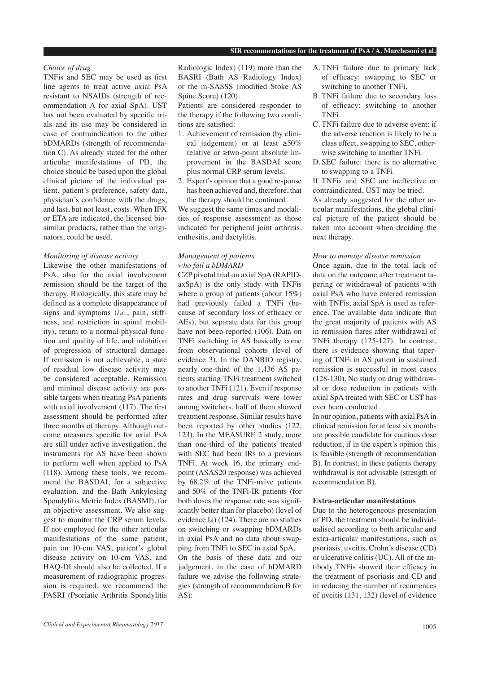# *Choice of drug*

TNFis and SEC may be used as first line agents to treat active axial PsA resistant to NSAIDs (strength of recommendation A for axial SpA). UST has not been evaluated by specific trials and its use may be considered in case of contraindication to the other bDMARDs (strength of recommendation C). As already stated for the other articular manifestations of PD, the choice should be based upon the global clinical picture of the individual patient, patient's preference, safety data, physician's confidence with the drugs, and last, but not least, costs. When IFX or ETA are indicated, the licensed biosimilar products, rather than the originators, could be used.

## *Monitoring of disease activity*

Likewise the other manifestations of PsA, also for the axial involvement remission should be the target of the therapy. Biologically, this state may be defined as a complete disappearance of signs and symptoms (*i.e.*, pain, stiffness, and restriction in spinal mobility), return to a normal physical function and quality of life, and inhibition of progression of structural damage. If remission is not achievable, a state of residual low disease activity may be considered acceptable. Remission and minimal disease activity are possible targets when treating PsA patients with axial involvement (117). The first assessment should be performed after three months of therapy. Although outcome measures specific for axial PsA are still under active investigation, the instruments for AS have been shown to perform well when applied to PsA (118). Among these tools, we recommend the BASDAI, for a subjective evaluation, and the Bath Ankylosing Spondylitis Metric Index (BASMI), for an objective assessment. We also suggest to monitor the CRP serum levels. If not employed for the other articular manifestations of the same patient, pain on 10-cm VAS, patient's global disease activity on 10-cm VAS, and HAQ-DI should also be collected. If a measurement of radiographic progression is required, we recommend the PASRI (Psoriatic Arthritis Spondylitis

Radiologic Index) (119) more than the BASRI (Bath AS Radiology Index) or the m-SASSS (modified Stoke AS Spine Score) (120).

Patients are considered responder to the therapy if the following two conditions are satisfied:

- 1. Achievement of remission (by clinical judgement) or at least  $\geq 50\%$ relative or ≥two-point absolute improvement in the BASDAI score plus normal CRP serum levels.
- 2. Expert's opinion that a good response has been achieved and, therefore, that the therapy should be continued.

We suggest the same times and modalities of response assessment as those indicated for peripheral joint arthritis, enthesitis, and dactylitis.

#### *Management of patients who fail a bDMARD*

CZP pivotal trial on axial SpA (RAPIDaxSpA) is the only study with TNFis where a group of patients (about 15%) had previously failed a TNFi (because of secondary loss of efficacy or AEs), but separate data for this group have not been reported (106). Data on TNFi switching in AS basically come from observational cohorts (level of evidence 3). In the DANBIO registry, nearly one-third of the 1,436 AS patients starting TNFi treatment switched to another TNFi (121). Even if response rates and drug survivals were lower among switchers, half of them showed treatment response. Similar results have been reported by other studies (122, 123). In the MEASURE 2 study, more than one-third of the patients treated with SEC had been IRs to a previous TNFi. At week 16, the primary endpoint (ASAS20 response) was achieved by 68.2% of the TNFi-naïve patients and 50% of the TNFi-IR patients (for both doses the response rate was significantly better than for placebo) (level of evidence Ia) (124). There are no studies on switching or swapping bDMARDs in axial PsA and no data about swapping from TNFi to SEC in axial SpA. On the basis of these data and our judgement, in the case of bDMARD

failure we advise the following strategies (strength of recommendation B for AS):

- A. TNFi failure due to primary lack of efficacy: swapping to SEC or switching to another TNFi.
- B. TNFi failure due to secondary loss of efficacy: switching to another TNFi.
- C. TNFi failure due to adverse event: if the adverse reaction is likely to be a class effect, swapping to SEC, otherwise switching to another TNFi.
- D. SEC failure: there is no alternative to swapping to a TNFi.

If TNFis and SEC are ineffective or contraindicated, UST may be tried. As already suggested for the other articular manifestations, the global clinical picture of the patient should be taken into account when deciding the next therapy.

#### *How to manage disease remission*

Once again, due to the total lack of data on the outcome after treatment tapering or withdrawal of patients with axial PsA who have entered remission with TNFis, axial SpA is used as reference. The available data indicate that the great majority of patients with AS in remission flares after withdrawal of TNFi therapy (125-127). In contrast, there is evidence showing that tapering of TNFi in AS patient in sustained remission is successful in most cases (128-130). No study on drug withdrawal or dose reduction in patients with axial SpA treated with SEC or UST has ever been conducted.

In our opinion, patients with axial PsA in clinical remission for at least six months are possible candidate for cautious dose reduction, if in the expert's opinion this is feasible (strength of recommendation B). In contrast, in these patients therapy withdrawal is not advisable (strength of recommendation B).

#### **Extra-articular manifestations**

Due to the heterogeneous presentation of PD, the treatment should be individualised according to both articular and extra-articular manifestations, such as psoriasis, uveitis, Crohn's disease (CD) or ulcerative colitis (UC). All of the antibody TNFis showed their efficacy in the treatment of psoriasis and CD and in reducing the number of recurrences of uveitis (131, 132) (level of evidence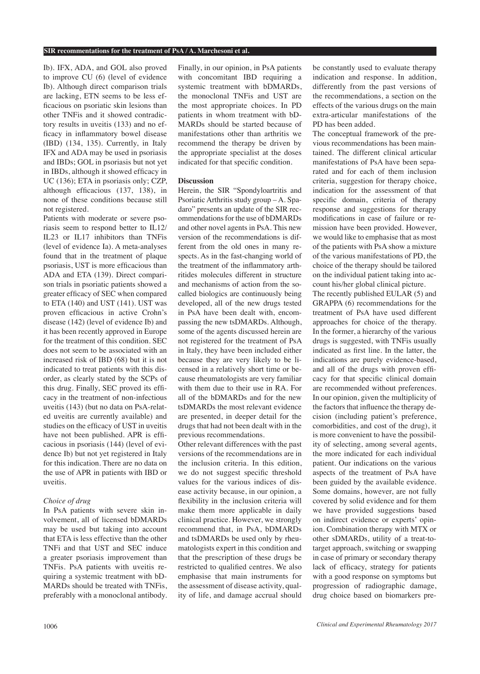Ib). IFX, ADA, and GOL also proved to improve CU (6) (level of evidence Ib). Although direct comparison trials are lacking, ETN seems to be less efficacious on psoriatic skin lesions than other TNFis and it showed contradictory results in uveitis (133) and no efficacy in inflammatory bowel disease (IBD) (134, 135). Currently, in Italy IFX and ADA may be used in psoriasis and IBDs; GOL in psoriasis but not yet in IBDs, although it showed efficacy in UC (136); ETA in psoriasis only; CZP, although efficacious (137, 138), in none of these conditions because still not registered.

Patients with moderate or severe psoriasis seem to respond better to IL12/ IL23 or IL17 inhibitors than TNFis (level of evidence Ia). A meta-analyses found that in the treatment of plaque psoriasis, UST is more efficacious than ADA and ETA (139). Direct comparison trials in psoriatic patients showed a greater efficacy of SEC when compared to ETA (140) and UST (141). UST was proven efficacious in active Crohn's disease (142) (level of evidence Ib) and it has been recently approved in Europe for the treatment of this condition. SEC does not seem to be associated with an increased risk of IBD (68) but it is not indicated to treat patients with this disorder, as clearly stated by the SCPs of this drug. Finally, SEC proved its efficacy in the treatment of non-infectious uveitis (143) (but no data on PsA-related uveitis are currently available) and studies on the efficacy of UST in uveitis have not been published. APR is efficacious in psoriasis (144) (level of evidence Ib) but not yet registered in Italy for this indication. There are no data on the use of APR in patients with IBD or uveitis.

#### *Choice of drug*

In PsA patients with severe skin involvement, all of licensed bDMARDs may be used but taking into account that ETA is less effective than the other TNFi and that UST and SEC induce a greater psoriasis improvement than TNFis. PsA patients with uveitis requiring a systemic treatment with bD-MARDs should be treated with TNFis, preferably with a monoclonal antibody. Finally, in our opinion, in PsA patients with concomitant IBD requiring a systemic treatment with bDMARDs, the monoclonal TNFis and UST are the most appropriate choices. In PD patients in whom treatment with bD-MARDs should be started because of manifestations other than arthritis we recommend the therapy be driven by the appropriate specialist at the doses indicated for that specific condition.

#### **Discussion**

Herein, the SIR "Spondyloartritis and Psoriatic Arthritis study group – A. Spadaro" presents an update of the SIR recommendations for the use of bDMARDs and other novel agents in PsA. This new version of the recommendations is different from the old ones in many respects. As in the fast-changing world of the treatment of the inflammatory arthritides molecules different in structure and mechanisms of action from the socalled biologics are continuously being developed, all of the new drugs tested in PsA have been dealt with, encompassing the new tsDMARDs. Although, some of the agents discussed herein are not registered for the treatment of PsA in Italy, they have been included either because they are very likely to be licensed in a relatively short time or because rheumatologists are very familiar with them due to their use in RA. For all of the bDMARDs and for the new tsDMARDs the most relevant evidence are presented, in deeper detail for the drugs that had not been dealt with in the previous recommendations.

Other relevant differences with the past versions of the recommendations are in the inclusion criteria. In this edition, we do not suggest specific threshold values for the various indices of disease activity because, in our opinion, a flexibility in the inclusion criteria will make them more applicable in daily clinical practice. However, we strongly recommend that, in PsA, bDMARDs and tsDMARDs be used only by rheumatologists expert in this condition and that the prescription of these drugs be restricted to qualified centres. We also emphasise that main instruments for the assessment of disease activity, quality of life, and damage accrual should be constantly used to evaluate therapy indication and response. In addition, differently from the past versions of the recommendations, a section on the effects of the various drugs on the main extra-articular manifestations of the PD has been added.

The conceptual framework of the previous recommendations has been maintained. The different clinical articular manifestations of PsA have been separated and for each of them inclusion criteria, suggestion for therapy choice, indication for the assessment of that specific domain, criteria of therapy response and suggestions for therapy modifications in case of failure or remission have been provided. However, we would like to emphasise that as most of the patients with PsA show a mixture of the various manifestations of PD, the choice of the therapy should be tailored on the individual patient taking into account his/her global clinical picture.

The recently published EULAR (5) and GRAPPA (6) recommendations for the treatment of PsA have used different approaches for choice of the therapy. In the former, a hierarchy of the various drugs is suggested, with TNFis usually indicated as first line. In the latter, the indications are purely evidence-based, and all of the drugs with proven efficacy for that specific clinical domain are recommended without preferences. In our opinion, given the multiplicity of the factors that influence the therapy decision (including patient's preference, comorbidities, and cost of the drug), it is more convenient to have the possibility of selecting, among several agents, the more indicated for each individual patient. Our indications on the various aspects of the treatment of PsA have been guided by the available evidence. Some domains, however, are not fully covered by solid evidence and for them we have provided suggestions based on indirect evidence or experts' opinion. Combination therapy with MTX or other sDMARDs, utility of a treat-totarget approach, switching or swapping in case of primary or secondary therapy lack of efficacy, strategy for patients with a good response on symptoms but progression of radiographic damage, drug choice based on biomarkers pre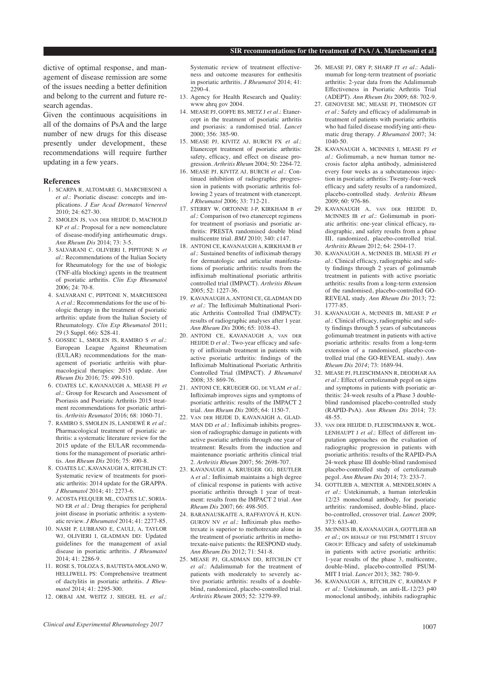dictive of optimal response, and management of disease remission are some of the issues needing a better definition and belong to the current and future research agendas.

Given the continuous acquisitions in all of the domains of PsA and the large number of new drugs for this disease presently under development, these recommendations will require further updating in a few years.

#### **References**

- 1. SCARPA R, ALTOMARE G, MARCHESONI A *et al*.: Psoriatic disease: concepts and implications. *J Eur Acad Dermatol Venereol*  $2010 \cdot 24 \cdot 627 - 30$
- 2. SMOLEN JS, van der HEIJDE D, MACHOLD KP *et al*.: Proposal for a new nomenclature of disease-modifying antirheumatic drugs. *Ann Rheum Dis* 2014; 73: 3-5.
- 3. SALVARANI C, OLIVIERI I, PIPITONE N *et al*.: Recommendations of the Italian Society for Rheumatology for the use of biologic (TNF-alfa blocking) agents in the treatment of psoriatic arthritis. *Clin Exp Rheumatol* 2006; 24: 70-8.
- 4. SALVARANI C, PIPITONE N, MARCHESONI A *et al*.: Recommendations for the use of biologic therapy in the treatment of psoriatic arthritis: update from the Italian Society of Rheumatology. *Clin Exp Rheumatol* 2011; 29 (3 Suppl. 66): S28-41.
- 5. GOSSEC L, SMOLEN JS, RAMIRO S *et al*.: European League Against Rheumatism (EULAR) recommendations for the management of psoriatic arthritis with pharmacological therapies: 2015 update. *Ann Rheum Dis* 2016; 75: 499-510.
- 6. COATES LC, KAVANAUGH A, MEASE PJ *et al*.: Group for Research and Assessment of Psoriasis and Psoriatic Arthritis 2015 treatment recommendations for psoriatic arthritis. *Arthritis Reumatol* 2016; 68: 1060-71.
- 7. RAMIRO S, SMOLEN JS, LANDEWÉ R *et al*.: Pharmacological treatment of psoriatic arthritis: a systematic literature review for the 2015 update of the EULAR recommendations for the management of psoriatic arthritis. *Ann Rheum Dis* 2016; 75: 490-8.
- 8. COATES LC, KAVANAUGH A, RITCHLIN CT: Systematic review of treatments for psoriatic arthritis: 2014 update for the GRAPPA. *J Rheumatol* 2014; 41: 2273-6.
- 9. ACOSTA FELQUER ML, COATES LC, SORIA-NO ER *et al*.: Drug therapies for peripheral joint disease in psoriatic arthritis: a systematic review. *J Rheumatol* 2014; 41: 2277-85.
- 10. NASH P, LUBRANO E, CAULI, A, TAYLOR WJ, OLIVIERI I, GLADMAN DD: Updated guidelines for the management of axial disease in psoriatic arthritis. *J Rheumatol* 2014; 41: 2286-9.
- 11. ROSE S, TOLOZA S, BAUTISTA-MOLANO W, HELLIWELL PS: Comprehensive treatment of dactylitis in psoriatic arthritis. *J Rheumatol* 2014; 41: 2295-300.
- 12. ORBAI AM, WEITZ J, SIEGEL EL *et al*.:

Systematic review of treatment effectiveness and outcome measures for enthesitis in psoriatic arthritis. *J Rheumatol* 2014; 41: 2290-4.

- 13. Agency for Health Research and Quality: www ahrq gov 2004.
- 14. MEASE PJ, GOFFE BS, METZ J *et al*.: Etanercept in the treatment of psoriatic arthritis and psoriasis: a randomised trial. *Lancet* 2000; 356: 385-90.
- 15. MEASE PJ, KIVITZ AJ, BURCH FX *et al.*: Etanercept treatment of psoriatic arthritis: safety, efficacy, and effect on disease progression. *Arthritis Rheum* 2004; 50: 2264-72.
- 16. MEASE PJ, KIVITZ AJ, BURCH *et al*.: Continued inhibition of radiographic progression in patients with psoriatic arthritis following 2 years of treatment with etanercept*. J Rheumatol* 2006; 33: 712-21.
- 17. STERRY W, ORTONNE J-P, KIRKHAM B *et al*.: Comparison of two etanercept regimens for treatment of psoriasis and psoriatic arthritis: PRESTA randomised double blind multicentre trial. *BMJ* 2010; 340: c147.
- 18. ANTONI CE, KAVANAUGH A, KIRKHAM B *et al*.: Sustained benefits of infliximab therapy for dermatologic and articular manifestations of psoriatic arthritis: results from the infliximab multinational psoriatic arthritis controlled trial (IMPACT). *Arthritis Rheum* 2005; 52: 1227-36.
- 19. KAVANAUGH A, ANTONI CE, GLADMAN DD *et al*.: The Infliximab Multinational Psoriatic Arthritis Controlled Trial (IMPACT): results of radiographic analyses after 1 year. *Ann Rheum Dis* 2006; 65: 1038-43.
- 20. ANTONI CE, KAVANAUGH A, van der HEIJDE D *et al*.: Two-year efficacy and safety of infliximab treatment in patients with active psoriatic arthritis: findings of the Infliximab Multinational Psoriatic Arthritis Controlled Trial (IMPACT). *J Rheumatol* 2008; 35: 869-76.
- 21. ANTONI CE, KRUEGER GG, de VLAM *et al*.: Infliximab improves signs and symptoms of psoriatic arthritis: results of the IMPACT 2 trial. *Ann Rheum Dis* 2005; 64: 1150-7.
- 22. Van der HEJDE D, KAVANAIGH A, GLAD-MAN DD *et al*.: Infliximab inhibits progression of radiographic damage in patients with active psoriatic arthritis through one year of treatment: Results from the induction and maintenance psoriatic arthritis clinical trial 2. *Arthritis Rheum* 2007; 56: 2698-707.
- 23. KAVANAUGH A, KRUEGER GG, BEUTLER A *et al*.: Infliximab maintains a high degree of clinical response in patients with active psoriatic arthritis through 1 year of treatment: results from the IMPACT 2 trial. *Ann Rheum Dis* 2007; 66: 498-505.
- 24. BARANAUSKAITE A, RAFFAYOVÁ H, KUN-GUROV NV *et al*.: Infliximab plus methotrexate is superior to methotrexate alone in the treatment of psoriatic arthritis in methotrexate-naive patients: the RESPOND study. *Ann Rheum Dis* 2012; 71: 541-8.
- 25. MEASE PJ, GLADMAN DD, RITCHLIN CT *et al*.: Adalimumab for the treatment of patients with moderately to severely active psoriatic arthritis: results of a doubleblind, randomized, placebo-controlled trial. *Arthritis Rheum* 2005; 52: 3279-89.
- 26. MEASE PJ, ORY P, SHARP JT *et al*.: Adalimumab for long-term treatment of psoriatic arthritis: 2-year data from the Adalimumab Effectiveness in Psoriatic Arthritis Trial (ADEPT). *Ann Rheum Dis* 2009; 68: 702-9.
- 27. GENOVESE MC, MEASE PJ, THOMSON GT *et al*.: Safety and efficacy of adalimumab in treatment of patients with psoriatic arthritis who had failed disease modifying anti-rheumatic drug therapy. *J Rheumatol* 2007; 34: 1040-50.
- 28. KAVANAUGH A, MCINNES I, MEASE PJ *et al*.: Golimumab, a new human tumor necrosis factor alpha antibody, administered every four weeks as a subcutaneous injection in psoriatic arthritis: Twenty-four-week efficacy and safety results of a randomized, placebo-controlled study. *Arthritis Rheum* 2009; 60: 976-86.
- 29. KAVANAUGH A, van der HEIJDE D, McINNES IB *et al*.: Golimumab in psoriatic arthritis: one-year clinical efficacy, radiographic, and safety results from a phase III, randomized, placebo-controlled trial. *Arthritis Rheum* 2012; 64: 2504-17.
- 30. KAVANAUGH A, McINNES IB, MEASE PJ *et al*.: Clinical efficacy, radiographic and safety findings through 2 years of golimumab treatment in patients with active psoriatic arthritis: results from a long-term extension of the randomised, placebo-controlled GO-REVEAL study. *Ann Rheum Dis* 2013; 72: 1777-85.
- 31. KAVANAUGH A, McINNES IB, MEASE P *et al*.: Clinical efficacy, radiographic and safety findings through 5 years of subcutaneous golimumab treatment in patients with active psoriatic arthritis: results from a long-term extension of a randomised, placebo-controlled trial (the GO-REVEAL study). *Ann Rheum Dis 2014*; 73: 1689-94.
- 32. MEASE PJ, FLEISCHMANN R, DEODHAR AA *et al*.: Effect of certolizumab pegol on signs and symptoms in patients with psoriatic arthritis: 24-week results of a Phase 3 doubleblind randomised placebo-controlled study (RAPID-PsA). *Ann Rheum Dis* 2014; 73: 48-55.
- 33. van der HEIJDE D, FLEISCHMANN R, WOL-LENHAUPT J *et al*.: Effect of different imputation approaches on the evaluation of radiographic progression in patients with psoriatic arthritis: results of the RAPID-PsA 24-week phase III double-blind randomised placebo-controlled study of certolizumab pegol. *Ann Rheum Dis* 2014; 73: 233-7.
- 34. GOTTLIEB A, MENTER A, MENDELSOHN A *et al*.: Ustekinumab, a human interleukin 12/23 monoclonal antibody, for psoriatic arthritis: randomised, double-blind, placebo-controlled, crossover trial. *Lancet* 2009; 373: 633-40.
- 35. McINNES IB, KAVANAUGH A, GOTTLIEB AB *et al.*; ON BEHALF OF THE PSUMMIT I STUDY Group: Efficacy and safety of ustekinumab in patients with active psoriatic arthritis: 1-year results of the phase 3, multicentre, double-blind, placebo-controlled PSUM-MIT I trial. *Lancet* 2013; 382: 780-9.
- 36. KAVANAUGH A, RITCHLIN C, RAHMAN P *et al*.: Ustekinumab, an anti-IL-12/23 p40 monoclonal antibody, inhibits radiographic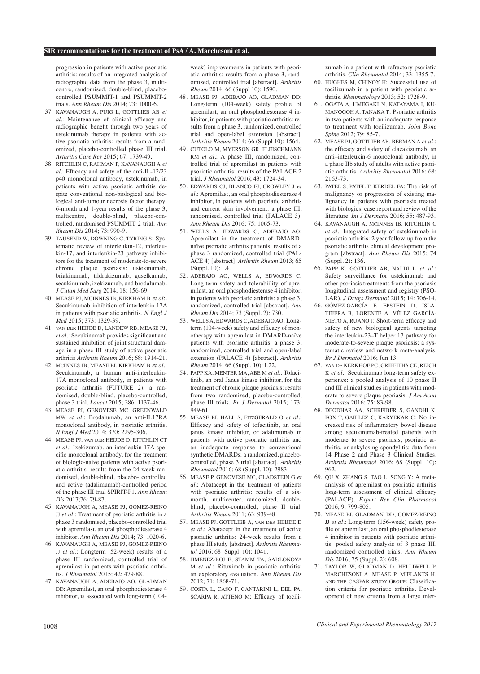progression in patients with active psoriatic arthritis: results of an integrated analysis of radiographic data from the phase 3, multicentre, randomised, double-blind, placebocontrolled PSUMMIT-1 and PSUMMIT-2 trials. *Ann Rheum Dis* 2014; 73: 1000-6.

- 37. KAVANAUGH A, PUIG L, GOTTLIEB AB *et al*.: Maintenance of clinical efficacy and radiographic benefit through two years of ustekinumab therapy in patients with active psoriatic arthritis: results from a randomized, placebo-controlled phase III trial. *Arthritis Care Res* 2015; 67: 1739-49.
- 38. RITCHLIN C, RAHMAN P, KAVANAUGH A *et al*.: Efficacy and safety of the anti-IL-12/23 p40 monoclonal antibody, ustekinumab, in patients with active psoriatic arthritis despite conventional non-biological and biological anti-tumour necrosis factor therapy: 6-month and 1-year results of the phase 3, multicentre, double-blind, placebo-controlled, randomised PSUMMIT 2 trial. *Ann Rheum Dis* 2014; 73: 990-9.
- 39. TAUSEND W, DOWNING C, TYRING S: Systematic review of interleukin-12, interleukin-17, and interleukin-23 pathway inhibitors for the treatment of moderate-to-severe chronic plaque psoriasis: ustekinumab, briakinumab, tildrakizumab, guselkumab, secukinumab, ixekizumab, and brodalumab. *J Cutan Med Surg* 2014; 18: 156-69.
- 40. MEASE PJ, MCINNES IB, KIRKHAM B *et al*:. Secukinumab inhibition of interleukin-17A in patients with psoriatic arthritis. *N Engl J Med* 2015; 373: 1329-39.
- 41. van der HEIJDE D, LANDEW RB, MEASE PJ, *et al*.: Secukinumab provides significant and sustained inhibition of joint structural damage in a phase III study of active psoriatic arthritis *Arthritis Rheum* 2016; 68: 1914-21.
- 42. McINNES IB, MEASE PJ, KIRKHAM B *et al*.: Secukinumab, a human anti-interleukin-17A monoclonal antibody, in patients with psoriatic arthritis (FUTURE 2): a randomised, double-blind, placebo-controlled, phase 3 trial. *Lancet* 2015; 386: 1137-46.
- 43. MEASE PJ, GENOVESE MC, GREENWALD MW *et al*.: Brodalumab, an anti-IL17RA monoclonal antibody, in psoriatic arthritis. *N Engl J Med* 2014; 370: 2295-306.
- 44. MEASE PJ, van der HEIJDE D, RITCHLIN CT *et al*.: Ixekizumab, an interleukin-17A specific monoclonal antibody, for the treatment of biologic-naive patients with active psoriatic arthritis: results from the 24-week randomised, double-blind, placebo- controlled and active (adalimumab)-controlled period of the phase III trial SPIRIT-P1. *Ann Rheum Dis* 2017;76: 79-87.
- 45. KAVANAUGH A, MEASE PJ, GOMEZ-REINO JJ *et al*.: Treatment of psoriatic arthritis in a phase 3 randomised, placebo-controlled trial with apremilast, an oral phosphodiesterase 4 inhibitor. *Ann Rheum Dis* 2014; 73: 1020-6.
- 46. KAVANAUGH A, MEASE PJ, GOMEZ-REINO JJ *et al*.: Longterm (52-week) results of a phase III randomized, controlled trial of apremilast in patients with psoriatic arthritis. *J Rheumatol* 2015; 42: 479-88.
- 47. KAVANAUGH A, ADEBAJO AO, GLADMAN DD: Apremilast, an oral phosphodiesterase 4 inhibitor, is associated with long-term (104-

week) improvements in patients with psoriatic arthritis: results from a phase 3, randomized, controlled trial [abstract]. *Arthritis Rheum* 2014; 66 (Suppl 10): 1590.

- 48. MEASE PJ, ADEBAJO AO, GLADMAN DD: Long-term (104-week) safety profile of apremilast, an oral phosphodiesterase 4 inhibitor, in patients with psoriatic arthritis: results from a phase 3, randomized, controlled trial and open-label extension [abstract]. *Arthritis Rheum* 2014; 66 (Suppl 10): 1564.
- 49. CUTOLO M, MYERSON GR, FLEISCHMANN RM *et al*.: A phase III, randomized, controlled trial of apremilast in patients with psoriatic arthritis: results of the PALACE 2 trial. *J Rheumatol* 2016; 43: 1724-34.
- 50. EDWARDS CJ, BLANCO FJ, CROWLEY J *et al*.: Apremilast, an oral phosphodiesterase 4 inhibitor, in patients with psoriatic arthritis and current skin involvement: a phase III, randomised, controlled trial (PALACE 3). *Ann Rheum Dis* 2016; 75: 1065-73.
- 51. WELLS A, EDWARDS C, ADEBAJO AO: Apremilast in the treatment of DMARDnaïve psoriatic arthritis patients: results of a phase 3 randomized, controlled trial (PAL-ACE 4) [abstract]. *Arthritis Rheum* 2013; 65 (Suppl. 10): L4.
- 52. ADEBAJO AO, WELLS A, EDWARDS C: Long-term safety and tolerabiility of apremilast, an oral phosphodiesterase 4 inhibitor, in patients with psoriatic arthritis: a phase 3, randomized, controlled trial [abstract]. *Ann Rheum Dis* 2014; 73 (Suppl. 2): 730.
- 53. WELLS A, EDWARDS C, ADEBAJO AO: Longterm (104-week) safety and efficacy of monotherapy with apremilast in DMARD-naïve patients with psoriatic arthritis: a phase 3, randomized, controlled trial and open-label extension (PALACE 4) [abstract]. *Arthritis Rheum* 2014; 66 (Suppl. 10): L22.
- 54. PAPP KA, MENTER MA, ABE M *et al*.: Tofacitinib, an oral Janus kinase inhibitor, for the treatment of chronic plaque psoriasis: results from two randomized, placebo-controlled, phase III trials. *Br J Dermatol* 2015; 173: 949-61.
- 55. MEASE PJ, HALL S, FitzGERALD O *et al*.: Efficacy and safety of tofacitinib, an oral janus kinase inhibitor, or adalimumab in patients with active psoriatic arthritis and an inadequate response to conventional synthetic DMARDs: a randomized, placebocontrolled, phase 3 trial [abstract]. *Arthritis Rheumatol* 2016; 68 (Suppl. 10): 2983.
- 56. MEASE P, GENOVESE MC, GLADSTEIN G *et al*.: Abatacept in the treatment of patients with psoriatic arthritis: results of a sixmonth, multicenter, randomized, doubleblind, placebo-controlled, phase II trial. *Arthritis Rheum* 2011; 63: 939-48.
- 57. MEASE PJ, GOTTLIEB A, van der HEIJDE D *et al*.: Abatacept in the treatment of active psoriatic arthritis: 24-week results from a phase III study [abstract]. *Arthritis Rheumatol* 2016; 68 (Suppl. 10): 1041.
- 58. JIMENEZ-BOJ E, STAMM TA, SADLONOVA M *et al*.: Rituximab in psoriatic arthritis: an exploratory evaluation. *Ann Rheum Dis* 2012; 71: 1868-71.
- 59. COSTA L, CASO F, CANTARINI L, DEL PA, SCARPA R, ATTENO M: Efficacy of tocili-

zumab in a patient with refractory psoriatic arthritis. *Clin Rheumatol* 2014; 33: 1355-7.

- 60. HUGHES M, CHINOY H: Successful use of tocilizumab in a patient with psoriatic arthritis. *Rheumatology* 2013; 52: 1728-9.
- 61. OGATA A, UMEGAKI N, KATAYAMA I, KU-MANOGOH A, TANAKA T: Psoriatic arthritis in two patients with an inadequate response to treatment with tocilizumab. *Joint Bone Spine* 2012; 79: 85-7.
- 62. MEASE PJ, GOTTLIEB AB, BERMAN A *et al*.: the efficacy and safety of clazakizumab, an anti–interleukin-6 monoclonal antibody, in a phase IIb study of adults with active psoriatic arthritis. *Arthritis Rheumatol* 2016; 68: 2163-73.
- 63. PATEL S, PATEL T, KERDEL FA: The risk of malignancy or progression of existing malignancy in patients with psoriasis treated with biologics: case report and review of the literature. *Int J Dermatol* 2016; 55: 487-93.
- 64. KAVANAUGH A, McINNES IB, RITCHLIN C *at al*.: Integrated safety of ustekinumab in psoriatic arthritis: 2 year follow-up from the psoriatic arthritis clinical development program [abstract]. *Ann Rheum Dis* 2015; 74 (Suppl. 2): 136.
- 65. PAPP K, GOTTLIEB AB, NALDI L *et al*.: Safety surveillance for ustekinumab and other psoriasis treatments from the psoriasis longitudinal assessment and registry (PSO-LAR). *J Drugs Dermatol* 2015; 14: 706-14.
- 66. GÓMEZ-GARCÍA F, EPSTEIN D, ISLA-TEJERA B, LORENTE A, VÉLEZ GARCÍA-NIETO A, RUANO J: Short-term efficacy and safety of new biological agents targeting the interleukin-23–T helper 17 pathway for moderate-to-severe plaque psoriasis: a systematic review and network meta-analysis. *Br J Dermatol* 2016; Jun 13.
- 67. van de KERKHOF PC, GRIFFITHS CE, REICH K *et al*.: Secukinumab long-term safety experience: a pooled analysis of 10 phase II and III clinical studies in patients with moderate to severe plaque psoriasis. *J Am Acad Dermatol* 2016; 75: 83-98.
- 68. DEODHAR AA, SCHREIBER S, GANDHI K, FOX T, GAILLEZ C, KARYEKAR C: No increased risk of inflammatory bowel disease among secukinumab-treated patients with moderate to severe psoriasis, psoriatic arthritis, or ankylosing spondylitis: data from 14 Phase 2 and Phase 3 Clinical Studies. *Arthritis Rheumatol* 2016; 68 (Suppl. 10): 962.
- 69. QU X, ZHANG S, TAO L, SONG Y: A metaanalysis of apremilast on psoriatic arthritis long-term assessment of clinical efficacy (PALACE). *Expert Rev Clin Pharmacol* 2016; 9: 799-805.
- 70. MEASE PJ, GLADMAN DD, GOMEZ-REINO JJ *et al*.: Long-term (156-week) safety profile of apremilast, an oral phosphodiesterase 4 inhibitor in patients with psoriatic arthritis: pooled safety analysis of 3 phase III, randomized controlled trials. *Ann Rheum Dis* 2016; 75 (Suppl. 2): 608.
- 71. TAYLOR W, GLADMAN D, HELLIWELL P, MARCHESONI A, MEASE P, MIELANTS H, and the CASPAR study Group: Classification criteria for psoriatic arthritis. Development of new criteria from a large inter-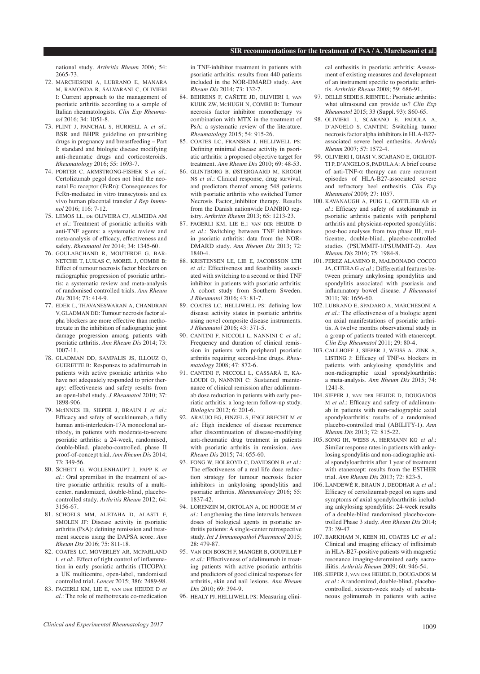national study. *Arthritis Rheum* 2006; 54: 2665-73.

- 72. MARCHESONI A, LUBRANO E, MANARA M, RAMONDA R, SALVARANI C, OLIVIERI I: Current approach to the management of psoriatic arthritis according to a sample of Italian rheumatologists. *Clin Exp Rheumatol* 2016; 34: 1051-8.
- 73. FLINT J, PANCHAL S, HURRELL A *et al*.: BSR and BHPR guideline on prescribing drugs in pregnancy and breastfeeding – Part I: standard and biologic disease modifying anti-rheumatic drugs and corticosteroids. *Rheumatology* 2016; 55: 1693-7.
- 74. PORTER C, ARMSTRONG-FISHER S *et al*.: Certolizumab pegol does not bind the neonatal Fc receptor (FcRn): Consequences for FcRn-mediated in vitro transcytosis and ex vivo human placental transfer *J Rep Immunol* 2016; 116: 7-12.
- 75. LEMOS LL, de OLIVEIRA CJ, ALMEIDA AM *et al*.: Treatment of psoriatic arthritis with anti-TNF agents: a systematic review and meta-analysis of efficacy, effectiveness and safety. *Rheumatol Int* 2014; 34: 1345-60.
- 76. GOULABCHAND R, MOUTERDE G, BAR-NETCHE T, LUKAS C, MOREL J, COMBE B: Effect of tumour necrosis factor blockers on radiographic progression of psoriatic arthritis: a systematic review and meta-analysis of randomised controlled trials. *Ann Rheum Dis* 2014; 73: 414-9.
- 77. EDER L, THAVANESWARAN A, CHANDRAN V, GLADMAN DD: Tumour necrosis factor alpha blockers are more effective than methotrexate in the inhibition of radiographic joint damage progression among patients with psoriatic arthritis. *Ann Rheum Dis* 2014; 73: 1007-11.
- 78. GLADMAN DD, SAMPALIS JS, ILLOUZ O, GUERETTE B: Responses to adalimumab in patients with active psoriatic arthritis who have not adequately responded to prior therapy: effectiveness and safety results from an open-label study. *J Rheumatol* 2010; 37: 1898-906.
- 79. McINNES IB, SIEPER J, BRAUN J *et al*.: Efficacy and safety of secukinumab, a fully human anti-interleukin-17A monoclonal antibody, in patients with moderate-to-severe psoriatic arthritis: a 24-week, randomised, double-blind, placebo-controlled, phase II proof-of-concept trial. *Ann Rheum Dis* 2014; 73: 349-56.
- 80. SCHETT G, WOLLENHAUPT J, PAPP K *et al*.: Oral apremilast in the treatment of active psoriatic arthritis: results of a multicenter, randomized, double-blind, placebocontrolled study. *Arthritis Rheum* 2012; 64: 3156-67.
- 81. SCHOELS MM, ALETAHA D, ALASTI F, SMOLEN JF: Disease activity in psoriatic arthritis (PsA): defining remission and treatment success using the DAPSA score. *Ann Rheum Dis* 2016; 75: 811-18.
- 82. COATES LC, MOVERLEY AR, McPARLAND L *et al*:*.* Effect of tight control of inflammation in early psoriatic arthritis (TICOPA): a UK multicentre, open-label, randomised controlled trial. *Lancet* 2015; 386: 2489-98.
- 83. FAGERLI KM, LIE E, van der HEIJDE D *et al*.: The role of methotrexate co-medication

in TNF-inhibitor treatment in patients with psoriatic arthritis: results from 440 patients included in the NOR-DMARD study. *Ann Rheum Dis* 2014; 73: 132-7.

- 84. BEHRENS F, CAÑETE JD, OLIVIERI I, van KUIJK ZW, McHUGH N, COMBE B: Tumour necrosis factor inhibitor monotherapy vs combination with MTX in the treatment of PsA: a systematic review of the literature. *Rheumatology* 2015; 54: 915-26.
- 85. COATES LC, FRANSEN J, HELLIWELL PS: Defining minimal disease activity in psoriatic arthritis: a proposed objective target for treatment. *Ann Rheum Dis* 2010; 69: 48-53.
- 86. GLINTBORG B, ØSTERGAARD M, KROGH NS *et al*.: Clinical response, drug survival, and predictors thereof among 548 patients with psoriatic arthritis who switched Tumor Necrosis Factor\_inhibitor therapy. Results from the Danish nationwide DANBIO registry. *Arthritis Rheum* 2013; 65: 1213-23.
- 87. FAGERLI KM, LIE E,1 van der HEIJDE D *et al*.: Switching between TNF inhibitors in psoriatic arthritis: data from the NOR-DMARD study. *Ann Rheum Dis* 2013; 72: 1840-4.
- 88. KRISTENSEN LE, LIE E, JACOBSSON LTH *et al*.: Effectiveness and feasibility associated with switching to a second or third TNF inhibitor in patients with psoriatic arthritis: A cohort study from Southern Sweden. *J Rheumatol* 2016; 43: 81-7.
- 89. COATES LC, HELLIWELL PS: defining low disease activity states in psoriatic arthritis using novel composite disease instruments. *J Rheumatol* 2016; 43: 371-5.
- 90. CANTINI F, NICCOLI L, NANNINI C *et al*.: Frequency and duration of clinical remission in patients with peripheral psoriatic arthritis requiring second-line drugs. *Rheumatology* 2008; 47: 872-6.
- 91. CANTINI F, NICCOLI L, CASSARÀ E, KA-LOUDI O, NANNINI C: Sustained maintenance of clinical remission after adalimumab dose reduction in patients with early psoriatic arthritis: a long-term follow-up study. *Biologics* 2012; 6: 201-6.
- 92. ARAUJO EG, FINZEL S, ENGLBRECHT M *et al*.: High incidence of disease recurrence after discontinuation of disease-modifying anti-rheumatic drug treatment in patients with psoriatic arthritis in remission. *Ann Rheum Dis* 2015; 74: 655-60.
- 93. FONG W, HOLROYD C, DAVIDSON B *et al*.: The effectiveness of a real life dose reduction strategy for tumour necrosis factor inhibitors in ankylosing spondylitis and psoriatic arthritis. *Rheumatology* 2016; 55: 1837-42.
- 94. LORENZIN M, ORTOLAN A, de HOOGE M *et al*.: Lengthening the time intervals between doses of biological agents in psoriatic arthritis patients: A single-center retrospective study. *Int J Immunopathol Pharmacol* 2015; 28: 479-87.
- 95. Van den BOSCH F, MANGER B, GOUPILLE P *et al*.: Effectiveness of adalimumab in treating patients with active psoriatic arthritis and predictors of good clinical responses for arthritis, skin and nail lesions. *Ann Rheum Dis* 2010; 69: 394-9.
- 96. HEALY PJ, HELLIWELL PS: Measuring clini-

cal enthesitis in psoriatic arthritis: Assessment of existing measures and development of an instrument specific to psoriatic arthritis. *Arthritis Rheum* 2008; 59: 686-91.

- 97. DELLE SEDIE S, RIENTE L: Psoriatic arthritis: what ultrasound can provide us? *Clin Exp Rheumatol* 2015; 33 (Suppl. 93): S60-65*.*
- 98. OLIVIERI I, SCARANO E, PADULA A, D'ANGELO S, CANTINI: Switching tumor necrosis factor alpha inhibitors in HLA-B27 associated severe heel enthesitis. *Arthritis Rheum* 2007; 57: 1572-4.
- 99. OLIVIERI I, GIASI V, SCARANO E, GIGLIOT-TI P, D'ANGELO S, PADULA A: A brief course of anti-TNF-α therapy can cure recurrent episodes of HLA-B27-associated severe and refractory heel enthesitis. *Clin Exp Rheumatol* 2009; 27: 1057.
- 100. KAVANAUGH A, PUIG L, GOTTLIEB AB *et al*.: Efficacy and safety of ustekinumab in psoriatic arthritis patients with peripheral arthritis and physician-reported spondylitis: post-hoc analyses from two phase III, multicentre, double-blind, placebo-controlled studies (PSUMMIT-1/PSUMMIT-2). *Ann Rheum Dis* 2016; 75: 1984-8.
- 101. PEREZ ALAMINO R, MALDONADO COCCO JA, CITERA G *et al*.: Differential features between primary ankylosing spondylitis and spondylitis associated with psoriasis and inflammatory bowel disease. *J Rheumatol* 2011; 38: 1656-60.
- 102. LUBRANO E, SPADARO A, MARCHESONI A *et al*.: The effectiveness of a biologic agent on axial manifestations of psoriatic arthritis. A twelve months observational study in a group of patients treated with etanercept. *Clin Exp Rheumatol* 2011; 29: 80-4.
- 103. CALLHOFF J, SIEPER J, WEISS A, ZINK A, LISTING J: Efficacy of TNF-α blockers in patients with ankylosing spondylitis and non-radiographic axial spondyloarthritis: a meta-analysis. *Ann Rheum Dis* 2015; 74: 1241-8.
- 104. SIEPER J, van der HEIJDE D, DOUGADOS M *et al*.: Efficacy and safety of adalimumab in patients with non-radiographic axial spondyloarthritis: results of a randomised placebo-controlled trial (ABILITY-1). *Ann Rheum Dis* 2013; 72: 815-22.
- 105. SONG IH, WEISS A, HERMANN KG *et al*.: Similar response rates in patients with ankylosing spondylitis and non-radiographic axial spondyloarthritis after 1 year of treatment with etanercept: results from the ESTHER trial. *Ann Rheum Dis* 2013; 72: 823-5.
- 106. LANDEWÉ R, BRAUN J, DEODHAR A *et al*.: Efficacy of certolizumab pegol on signs and symptoms of axial spondyloarthritis including ankylosing spondylitis: 24-week results of a double-blind randomised placebo-controlled Phase 3 study. *Ann Rheum Dis* 2014; 73: 39-47
- 107. BARKHAM N, KEEN HI, COATES LC *et al*.: Clinical and imaging efficacy of infliximab in HLA-B27-positive patients with magnetic resonance imaging-determined early sacroiliitis. *Arthritis Rheum* 2009; 60: 946-54.
- 108. SIEPER J, van der HEIJDE D, DOUGADOS M *et al*.: A randomized, double-blind, placebocontrolled, sixteen-week study of subcutaneous golimumab in patients with active